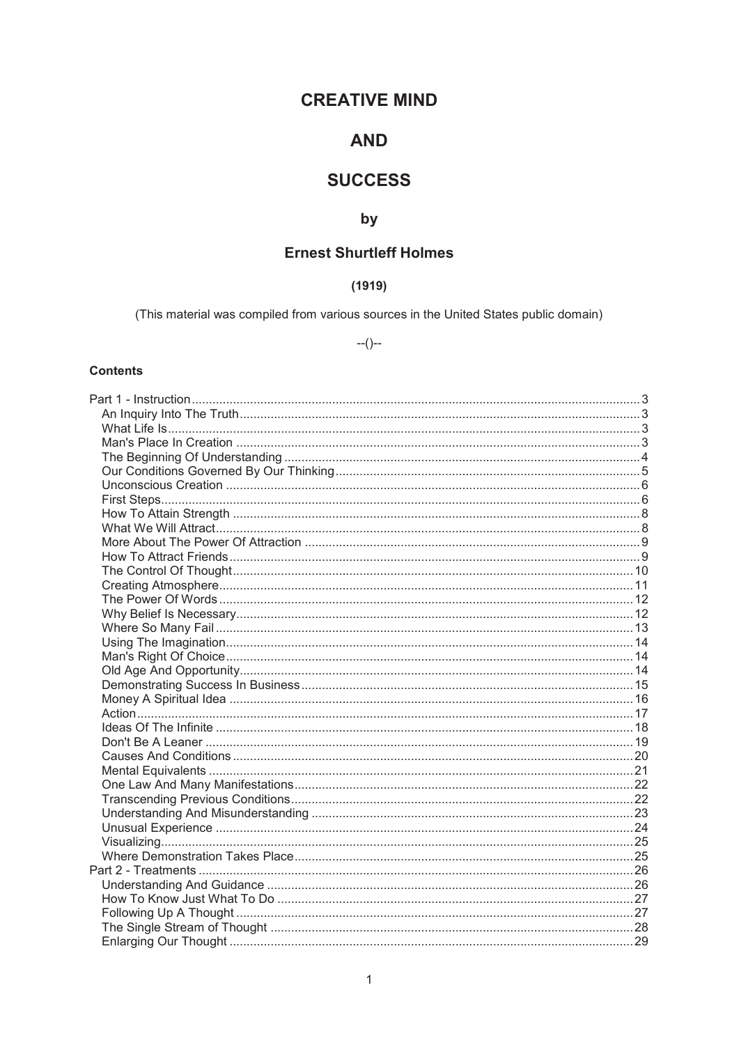# **CREATIVE MIND**

# **AND**

# **SUCCESS**

# by

# **Ernest Shurtleff Holmes**

# $(1919)$

(This material was compiled from various sources in the United States public domain)

# $-(-)$

# **Contents**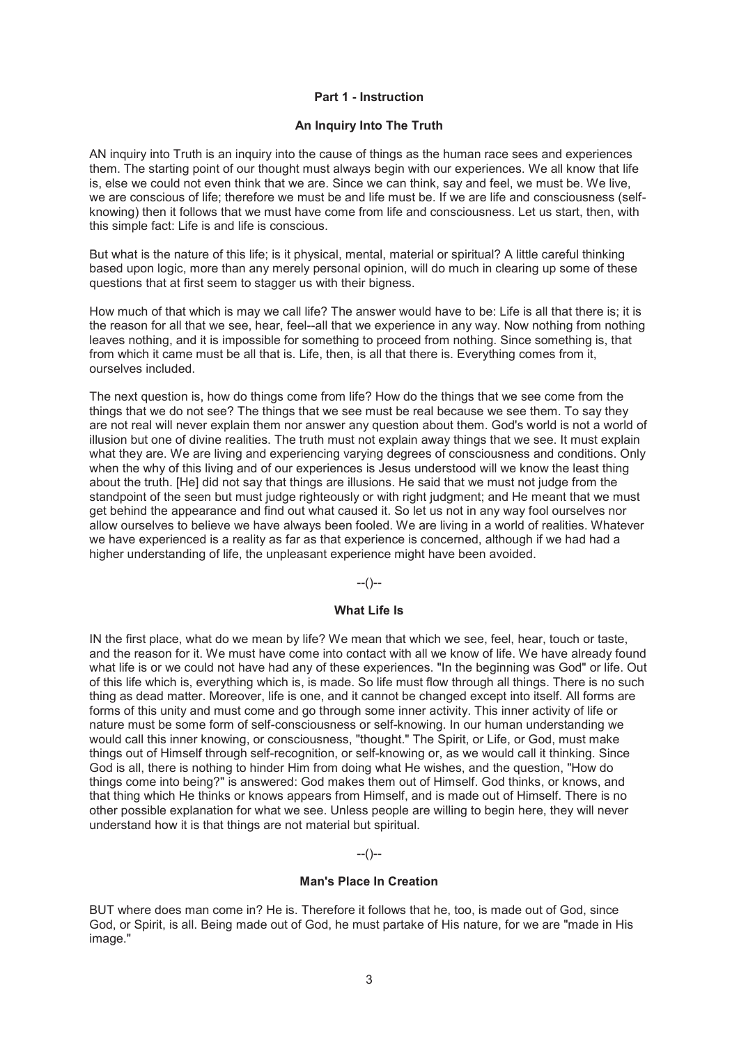#### **Part 1 - Instruction**

## **An Inquiry Into The Truth**

AN inquiry into Truth is an inquiry into the cause of things as the human race sees and experiences them. The starting point of our thought must always begin with our experiences. We all know that life is, else we could not even think that we are. Since we can think, say and feel, we must be. We live, we are conscious of life; therefore we must be and life must be. If we are life and consciousness (selfknowing) then it follows that we must have come from life and consciousness. Let us start, then, with this simple fact: Life is and life is conscious.

But what is the nature of this life; is it physical, mental, material or spiritual? A little careful thinking based upon logic, more than any merely personal opinion, will do much in clearing up some of these questions that at first seem to stagger us with their bigness.

How much of that which is may we call life? The answer would have to be: Life is all that there is; it is the reason for all that we see, hear, feel--all that we experience in any way. Now nothing from nothing leaves nothing, and it is impossible for something to proceed from nothing. Since something is, that from which it came must be all that is. Life, then, is all that there is. Everything comes from it, ourselves included.

The next question is, how do things come from life? How do the things that we see come from the things that we do not see? The things that we see must be real because we see them. To say they are not real will never explain them nor answer any question about them. God's world is not a world of illusion but one of divine realities. The truth must not explain away things that we see. It must explain what they are. We are living and experiencing varying degrees of consciousness and conditions. Only when the why of this living and of our experiences is Jesus understood will we know the least thing about the truth. [He] did not say that things are illusions. He said that we must not judge from the standpoint of the seen but must judge righteously or with right judgment; and He meant that we must get behind the appearance and find out what caused it. So let us not in any way fool ourselves nor allow ourselves to believe we have always been fooled. We are living in a world of realities. Whatever we have experienced is a reality as far as that experience is concerned, although if we had had a higher understanding of life, the unpleasant experience might have been avoided.

--()--

#### **What Life Is**

IN the first place, what do we mean by life? We mean that which we see, feel, hear, touch or taste, and the reason for it. We must have come into contact with all we know of life. We have already found what life is or we could not have had any of these experiences. "In the beginning was God" or life. Out of this life which is, everything which is, is made. So life must flow through all things. There is no such thing as dead matter. Moreover, life is one, and it cannot be changed except into itself. All forms are forms of this unity and must come and go through some inner activity. This inner activity of life or nature must be some form of self-consciousness or self-knowing. In our human understanding we would call this inner knowing, or consciousness, "thought." The Spirit, or Life, or God, must make things out of Himself through self-recognition, or self-knowing or, as we would call it thinking. Since God is all, there is nothing to hinder Him from doing what He wishes, and the question, "How do things come into being?" is answered: God makes them out of Himself. God thinks, or knows, and that thing which He thinks or knows appears from Himself, and is made out of Himself. There is no other possible explanation for what we see. Unless people are willing to begin here, they will never understand how it is that things are not material but spiritual.

--()--

# **Man's Place In Creation**

BUT where does man come in? He is. Therefore it follows that he, too, is made out of God, since God, or Spirit, is all. Being made out of God, he must partake of His nature, for we are "made in His image."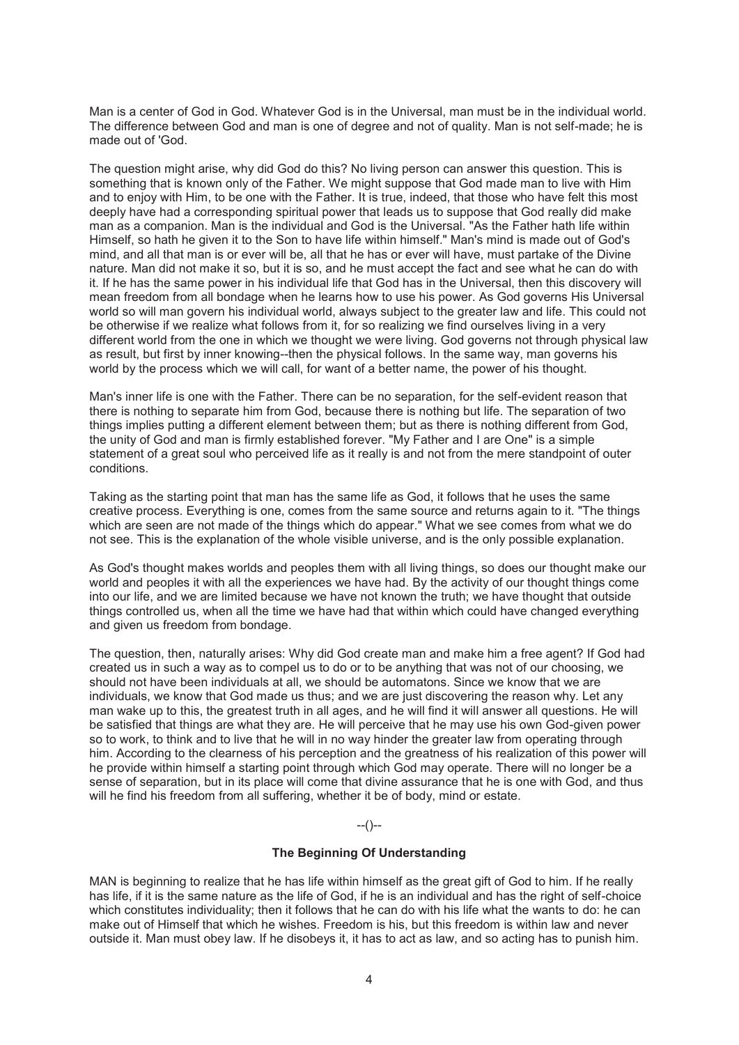Man is a center of God in God. Whatever God is in the Universal, man must be in the individual world. The difference between God and man is one of degree and not of quality. Man is not self-made; he is made out of 'God.

The question might arise, why did God do this? No living person can answer this question. This is something that is known only of the Father. We might suppose that God made man to live with Him and to enjoy with Him, to be one with the Father. It is true, indeed, that those who have felt this most deeply have had a corresponding spiritual power that leads us to suppose that God really did make man as a companion. Man is the individual and God is the Universal. "As the Father hath life within Himself, so hath he given it to the Son to have life within himself." Man's mind is made out of God's mind, and all that man is or ever will be, all that he has or ever will have, must partake of the Divine nature. Man did not make it so, but it is so, and he must accept the fact and see what he can do with it. If he has the same power in his individual life that God has in the Universal, then this discovery will mean freedom from all bondage when he learns how to use his power. As God governs His Universal world so will man govern his individual world, always subject to the greater law and life. This could not be otherwise if we realize what follows from it, for so realizing we find ourselves living in a very different world from the one in which we thought we were living. God governs not through physical law as result, but first by inner knowing--then the physical follows. In the same way, man governs his world by the process which we will call, for want of a better name, the power of his thought.

Man's inner life is one with the Father. There can be no separation, for the self-evident reason that there is nothing to separate him from God, because there is nothing but life. The separation of two things implies putting a different element between them; but as there is nothing different from God, the unity of God and man is firmly established forever. "My Father and I are One" is a simple statement of a great soul who perceived life as it really is and not from the mere standpoint of outer conditions.

Taking as the starting point that man has the same life as God, it follows that he uses the same creative process. Everything is one, comes from the same source and returns again to it. "The things which are seen are not made of the things which do appear." What we see comes from what we do not see. This is the explanation of the whole visible universe, and is the only possible explanation.

As God's thought makes worlds and peoples them with all living things, so does our thought make our world and peoples it with all the experiences we have had. By the activity of our thought things come into our life, and we are limited because we have not known the truth; we have thought that outside things controlled us, when all the time we have had that within which could have changed everything and given us freedom from bondage.

The question, then, naturally arises: Why did God create man and make him a free agent? If God had created us in such a way as to compel us to do or to be anything that was not of our choosing, we should not have been individuals at all, we should be automatons. Since we know that we are individuals, we know that God made us thus; and we are just discovering the reason why. Let any man wake up to this, the greatest truth in all ages, and he will find it will answer all questions. He will be satisfied that things are what they are. He will perceive that he may use his own God-given power so to work, to think and to live that he will in no way hinder the greater law from operating through him. According to the clearness of his perception and the greatness of his realization of this power will he provide within himself a starting point through which God may operate. There will no longer be a sense of separation, but in its place will come that divine assurance that he is one with God, and thus will he find his freedom from all suffering, whether it be of body, mind or estate.

# $-(-)$

# **The Beginning Of Understanding**

MAN is beginning to realize that he has life within himself as the great gift of God to him. If he really has life, if it is the same nature as the life of God, if he is an individual and has the right of self-choice which constitutes individuality; then it follows that he can do with his life what the wants to do: he can make out of Himself that which he wishes. Freedom is his, but this freedom is within law and never outside it. Man must obey law. If he disobeys it, it has to act as law, and so acting has to punish him.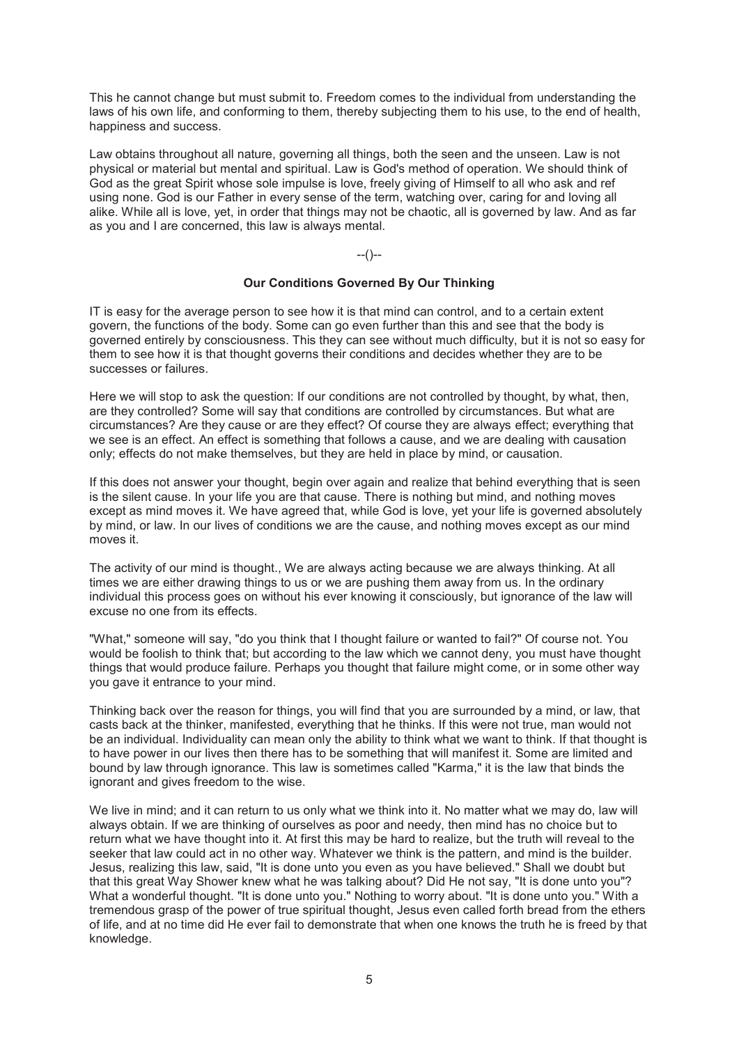This he cannot change but must submit to. Freedom comes to the individual from understanding the laws of his own life, and conforming to them, thereby subjecting them to his use, to the end of health, happiness and success.

Law obtains throughout all nature, governing all things, both the seen and the unseen. Law is not physical or material but mental and spiritual. Law is God's method of operation. We should think of God as the great Spirit whose sole impulse is love, freely giving of Himself to all who ask and ref using none. God is our Father in every sense of the term, watching over, caring for and loving all alike. While all is love, yet, in order that things may not be chaotic, all is governed by law. And as far as you and I are concerned, this law is always mental.

 $-(-)$ 

## **Our Conditions Governed By Our Thinking**

IT is easy for the average person to see how it is that mind can control, and to a certain extent govern, the functions of the body. Some can go even further than this and see that the body is governed entirely by consciousness. This they can see without much difficulty, but it is not so easy for them to see how it is that thought governs their conditions and decides whether they are to be successes or failures.

Here we will stop to ask the question: If our conditions are not controlled by thought, by what, then, are they controlled? Some will say that conditions are controlled by circumstances. But what are circumstances? Are they cause or are they effect? Of course they are always effect; everything that we see is an effect. An effect is something that follows a cause, and we are dealing with causation only; effects do not make themselves, but they are held in place by mind, or causation.

If this does not answer your thought, begin over again and realize that behind everything that is seen is the silent cause. In your life you are that cause. There is nothing but mind, and nothing moves except as mind moves it. We have agreed that, while God is love, yet your life is governed absolutely by mind, or law. In our lives of conditions we are the cause, and nothing moves except as our mind moves it.

The activity of our mind is thought., We are always acting because we are always thinking. At all times we are either drawing things to us or we are pushing them away from us. In the ordinary individual this process goes on without his ever knowing it consciously, but ignorance of the law will excuse no one from its effects.

"What," someone will say, "do you think that I thought failure or wanted to fail?" Of course not. You would be foolish to think that; but according to the law which we cannot deny, you must have thought things that would produce failure. Perhaps you thought that failure might come, or in some other way you gave it entrance to your mind.

Thinking back over the reason for things, you will find that you are surrounded by a mind, or law, that casts back at the thinker, manifested, everything that he thinks. If this were not true, man would not be an individual. Individuality can mean only the ability to think what we want to think. If that thought is to have power in our lives then there has to be something that will manifest it. Some are limited and bound by law through ignorance. This law is sometimes called "Karma," it is the law that binds the ignorant and gives freedom to the wise.

We live in mind; and it can return to us only what we think into it. No matter what we may do, law will always obtain. If we are thinking of ourselves as poor and needy, then mind has no choice but to return what we have thought into it. At first this may be hard to realize, but the truth will reveal to the seeker that law could act in no other way. Whatever we think is the pattern, and mind is the builder. Jesus, realizing this law, said, "It is done unto you even as you have believed." Shall we doubt but that this great Way Shower knew what he was talking about? Did He not say, "It is done unto you"? What a wonderful thought. "It is done unto you." Nothing to worry about. "It is done unto you." With a tremendous grasp of the power of true spiritual thought, Jesus even called forth bread from the ethers of life, and at no time did He ever fail to demonstrate that when one knows the truth he is freed by that knowledge.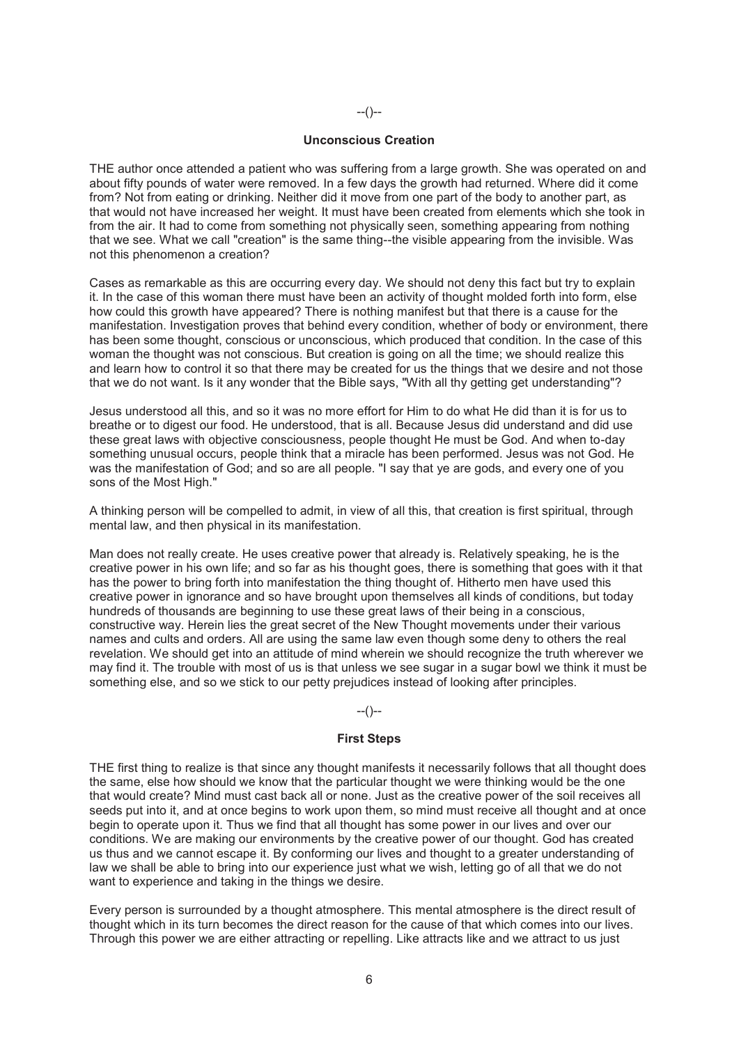#### **Unconscious Creation**

THE author once attended a patient who was suffering from a large growth. She was operated on and about fifty pounds of water were removed. In a few days the growth had returned. Where did it come from? Not from eating or drinking. Neither did it move from one part of the body to another part, as that would not have increased her weight. It must have been created from elements which she took in from the air. It had to come from something not physically seen, something appearing from nothing that we see. What we call "creation" is the same thing--the visible appearing from the invisible. Was not this phenomenon a creation?

Cases as remarkable as this are occurring every day. We should not deny this fact but try to explain it. In the case of this woman there must have been an activity of thought molded forth into form, else how could this growth have appeared? There is nothing manifest but that there is a cause for the manifestation. Investigation proves that behind every condition, whether of body or environment, there has been some thought, conscious or unconscious, which produced that condition. In the case of this woman the thought was not conscious. But creation is going on all the time; we should realize this and learn how to control it so that there may be created for us the things that we desire and not those that we do not want. Is it any wonder that the Bible says, "With all thy getting get understanding"?

Jesus understood all this, and so it was no more effort for Him to do what He did than it is for us to breathe or to digest our food. He understood, that is all. Because Jesus did understand and did use these great laws with objective consciousness, people thought He must be God. And when to-day something unusual occurs, people think that a miracle has been performed. Jesus was not God. He was the manifestation of God; and so are all people. "I say that ye are gods, and every one of you sons of the Most High."

A thinking person will be compelled to admit, in view of all this, that creation is first spiritual, through mental law, and then physical in its manifestation.

Man does not really create. He uses creative power that already is. Relatively speaking, he is the creative power in his own life; and so far as his thought goes, there is something that goes with it that has the power to bring forth into manifestation the thing thought of. Hitherto men have used this creative power in ignorance and so have brought upon themselves all kinds of conditions, but today hundreds of thousands are beginning to use these great laws of their being in a conscious, constructive way. Herein lies the great secret of the New Thought movements under their various names and cults and orders. All are using the same law even though some deny to others the real revelation. We should get into an attitude of mind wherein we should recognize the truth wherever we may find it. The trouble with most of us is that unless we see sugar in a sugar bowl we think it must be something else, and so we stick to our petty prejudices instead of looking after principles.

 $-(-)$ 

#### **First Steps**

THE first thing to realize is that since any thought manifests it necessarily follows that all thought does the same, else how should we know that the particular thought we were thinking would be the one that would create? Mind must cast back all or none. Just as the creative power of the soil receives all seeds put into it, and at once begins to work upon them, so mind must receive all thought and at once begin to operate upon it. Thus we find that all thought has some power in our lives and over our conditions. We are making our environments by the creative power of our thought. God has created us thus and we cannot escape it. By conforming our lives and thought to a greater understanding of law we shall be able to bring into our experience just what we wish, letting go of all that we do not want to experience and taking in the things we desire.

Every person is surrounded by a thought atmosphere. This mental atmosphere is the direct result of thought which in its turn becomes the direct reason for the cause of that which comes into our lives. Through this power we are either attracting or repelling. Like attracts like and we attract to us just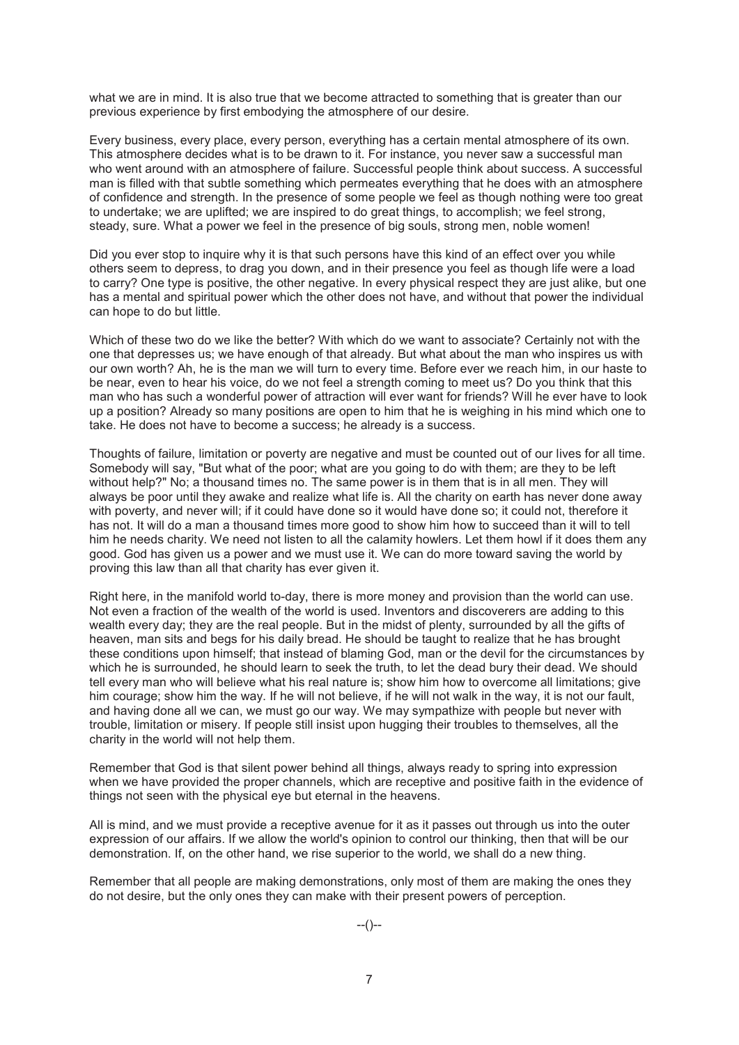what we are in mind. It is also true that we become attracted to something that is greater than our previous experience by first embodying the atmosphere of our desire.

Every business, every place, every person, everything has a certain mental atmosphere of its own. This atmosphere decides what is to be drawn to it. For instance, you never saw a successful man who went around with an atmosphere of failure. Successful people think about success. A successful man is filled with that subtle something which permeates everything that he does with an atmosphere of confidence and strength. In the presence of some people we feel as though nothing were too great to undertake; we are uplifted; we are inspired to do great things, to accomplish; we feel strong, steady, sure. What a power we feel in the presence of big souls, strong men, noble women!

Did you ever stop to inquire why it is that such persons have this kind of an effect over you while others seem to depress, to drag you down, and in their presence you feel as though life were a load to carry? One type is positive, the other negative. In every physical respect they are just alike, but one has a mental and spiritual power which the other does not have, and without that power the individual can hope to do but little.

Which of these two do we like the better? With which do we want to associate? Certainly not with the one that depresses us; we have enough of that already. But what about the man who inspires us with our own worth? Ah, he is the man we will turn to every time. Before ever we reach him, in our haste to be near, even to hear his voice, do we not feel a strength coming to meet us? Do you think that this man who has such a wonderful power of attraction will ever want for friends? Will he ever have to look up a position? Already so many positions are open to him that he is weighing in his mind which one to take. He does not have to become a success; he already is a success.

Thoughts of failure, limitation or poverty are negative and must be counted out of our lives for all time. Somebody will say, "But what of the poor; what are you going to do with them; are they to be left without help?" No; a thousand times no. The same power is in them that is in all men. They will always be poor until they awake and realize what life is. All the charity on earth has never done away with poverty, and never will; if it could have done so it would have done so; it could not, therefore it has not. It will do a man a thousand times more good to show him how to succeed than it will to tell him he needs charity. We need not listen to all the calamity howlers. Let them howl if it does them any good. God has given us a power and we must use it. We can do more toward saving the world by proving this law than all that charity has ever given it.

Right here, in the manifold world to-day, there is more money and provision than the world can use. Not even a fraction of the wealth of the world is used. Inventors and discoverers are adding to this wealth every day; they are the real people. But in the midst of plenty, surrounded by all the gifts of heaven, man sits and begs for his daily bread. He should be taught to realize that he has brought these conditions upon himself; that instead of blaming God, man or the devil for the circumstances by which he is surrounded, he should learn to seek the truth, to let the dead bury their dead. We should tell every man who will believe what his real nature is; show him how to overcome all limitations; give him courage; show him the way. If he will not believe, if he will not walk in the way, it is not our fault, and having done all we can, we must go our way. We may sympathize with people but never with trouble, limitation or misery. If people still insist upon hugging their troubles to themselves, all the charity in the world will not help them.

Remember that God is that silent power behind all things, always ready to spring into expression when we have provided the proper channels, which are receptive and positive faith in the evidence of things not seen with the physical eye but eternal in the heavens.

All is mind, and we must provide a receptive avenue for it as it passes out through us into the outer expression of our affairs. If we allow the world's opinion to control our thinking, then that will be our demonstration. If, on the other hand, we rise superior to the world, we shall do a new thing.

Remember that all people are making demonstrations, only most of them are making the ones they do not desire, but the only ones they can make with their present powers of perception.

--()--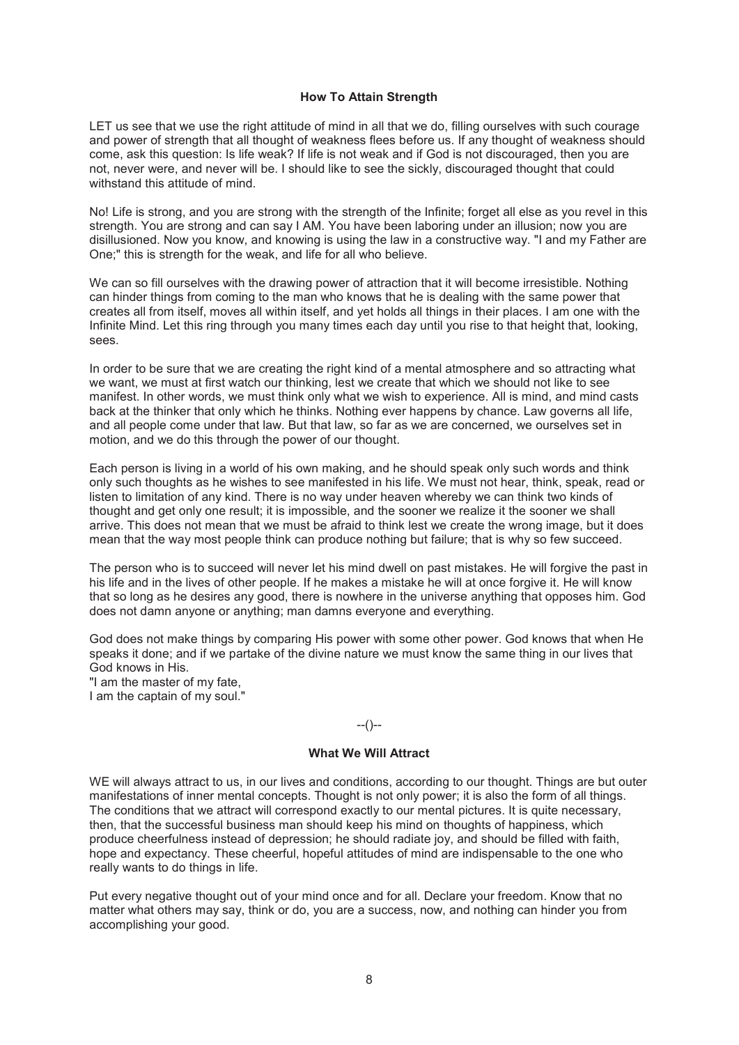## **How To Attain Strength**

LET us see that we use the right attitude of mind in all that we do, filling ourselves with such courage and power of strength that all thought of weakness flees before us. If any thought of weakness should come, ask this question: Is life weak? If life is not weak and if God is not discouraged, then you are not, never were, and never will be. I should like to see the sickly, discouraged thought that could withstand this attitude of mind.

No! Life is strong, and you are strong with the strength of the Infinite; forget all else as you revel in this strength. You are strong and can say I AM. You have been laboring under an illusion; now you are disillusioned. Now you know, and knowing is using the law in a constructive way. "I and my Father are One;" this is strength for the weak, and life for all who believe.

We can so fill ourselves with the drawing power of attraction that it will become irresistible. Nothing can hinder things from coming to the man who knows that he is dealing with the same power that creates all from itself, moves all within itself, and yet holds all things in their places. I am one with the Infinite Mind. Let this ring through you many times each day until you rise to that height that, looking, sees.

In order to be sure that we are creating the right kind of a mental atmosphere and so attracting what we want, we must at first watch our thinking, lest we create that which we should not like to see manifest. In other words, we must think only what we wish to experience. All is mind, and mind casts back at the thinker that only which he thinks. Nothing ever happens by chance. Law governs all life, and all people come under that law. But that law, so far as we are concerned, we ourselves set in motion, and we do this through the power of our thought.

Each person is living in a world of his own making, and he should speak only such words and think only such thoughts as he wishes to see manifested in his life. We must not hear, think, speak, read or listen to limitation of any kind. There is no way under heaven whereby we can think two kinds of thought and get only one result; it is impossible, and the sooner we realize it the sooner we shall arrive. This does not mean that we must be afraid to think lest we create the wrong image, but it does mean that the way most people think can produce nothing but failure; that is why so few succeed.

The person who is to succeed will never let his mind dwell on past mistakes. He will forgive the past in his life and in the lives of other people. If he makes a mistake he will at once forgive it. He will know that so long as he desires any good, there is nowhere in the universe anything that opposes him. God does not damn anyone or anything; man damns everyone and everything.

God does not make things by comparing His power with some other power. God knows that when He speaks it done; and if we partake of the divine nature we must know the same thing in our lives that God knows in His.

"I am the master of my fate, I am the captain of my soul."

## --()--

#### **What We Will Attract**

WE will always attract to us, in our lives and conditions, according to our thought. Things are but outer manifestations of inner mental concepts. Thought is not only power; it is also the form of all things. The conditions that we attract will correspond exactly to our mental pictures. It is quite necessary, then, that the successful business man should keep his mind on thoughts of happiness, which produce cheerfulness instead of depression; he should radiate joy, and should be filled with faith, hope and expectancy. These cheerful, hopeful attitudes of mind are indispensable to the one who really wants to do things in life.

Put every negative thought out of your mind once and for all. Declare your freedom. Know that no matter what others may say, think or do, you are a success, now, and nothing can hinder you from accomplishing your good.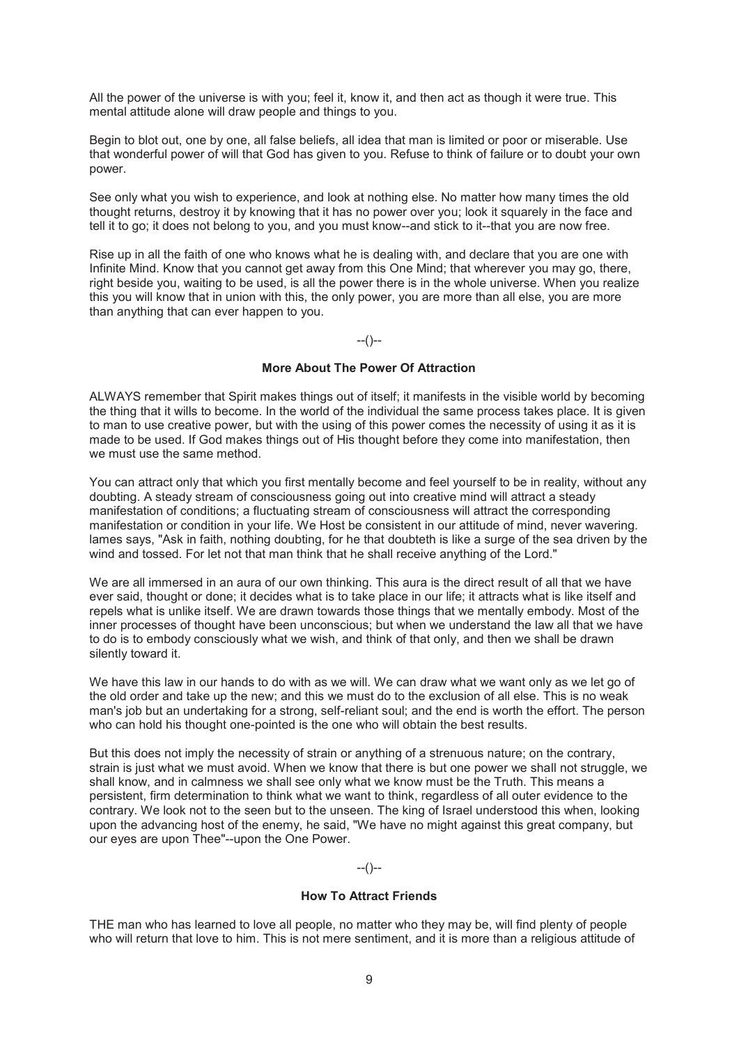All the power of the universe is with you; feel it, know it, and then act as though it were true. This mental attitude alone will draw people and things to you.

Begin to blot out, one by one, all false beliefs, all idea that man is limited or poor or miserable. Use that wonderful power of will that God has given to you. Refuse to think of failure or to doubt your own power.

See only what you wish to experience, and look at nothing else. No matter how many times the old thought returns, destroy it by knowing that it has no power over you; look it squarely in the face and tell it to go; it does not belong to you, and you must know--and stick to it--that you are now free.

Rise up in all the faith of one who knows what he is dealing with, and declare that you are one with Infinite Mind. Know that you cannot get away from this One Mind; that wherever you may go, there, right beside you, waiting to be used, is all the power there is in the whole universe. When you realize this you will know that in union with this, the only power, you are more than all else, you are more than anything that can ever happen to you.

--()--

# **More About The Power Of Attraction**

ALWAYS remember that Spirit makes things out of itself; it manifests in the visible world by becoming the thing that it wills to become. In the world of the individual the same process takes place. It is given to man to use creative power, but with the using of this power comes the necessity of using it as it is made to be used. If God makes things out of His thought before they come into manifestation, then we must use the same method.

You can attract only that which you first mentally become and feel yourself to be in reality, without any doubting. A steady stream of consciousness going out into creative mind will attract a steady manifestation of conditions; a fluctuating stream of consciousness will attract the corresponding manifestation or condition in your life. We Host be consistent in our attitude of mind, never wavering. lames says, "Ask in faith, nothing doubting, for he that doubteth is like a surge of the sea driven by the wind and tossed. For let not that man think that he shall receive anything of the Lord."

We are all immersed in an aura of our own thinking. This aura is the direct result of all that we have ever said, thought or done; it decides what is to take place in our life; it attracts what is like itself and repels what is unlike itself. We are drawn towards those things that we mentally embody. Most of the inner processes of thought have been unconscious; but when we understand the law all that we have to do is to embody consciously what we wish, and think of that only, and then we shall be drawn silently toward it.

We have this law in our hands to do with as we will. We can draw what we want only as we let go of the old order and take up the new; and this we must do to the exclusion of all else. This is no weak man's job but an undertaking for a strong, self-reliant soul; and the end is worth the effort. The person who can hold his thought one-pointed is the one who will obtain the best results.

But this does not imply the necessity of strain or anything of a strenuous nature; on the contrary, strain is just what we must avoid. When we know that there is but one power we shall not struggle, we shall know, and in calmness we shall see only what we know must be the Truth. This means a persistent, firm determination to think what we want to think, regardless of all outer evidence to the contrary. We look not to the seen but to the unseen. The king of Israel understood this when, looking upon the advancing host of the enemy, he said, "We have no might against this great company, but our eyes are upon Thee"--upon the One Power.

## $-(-)$

# **How To Attract Friends**

THE man who has learned to love all people, no matter who they may be, will find plenty of people who will return that love to him. This is not mere sentiment, and it is more than a religious attitude of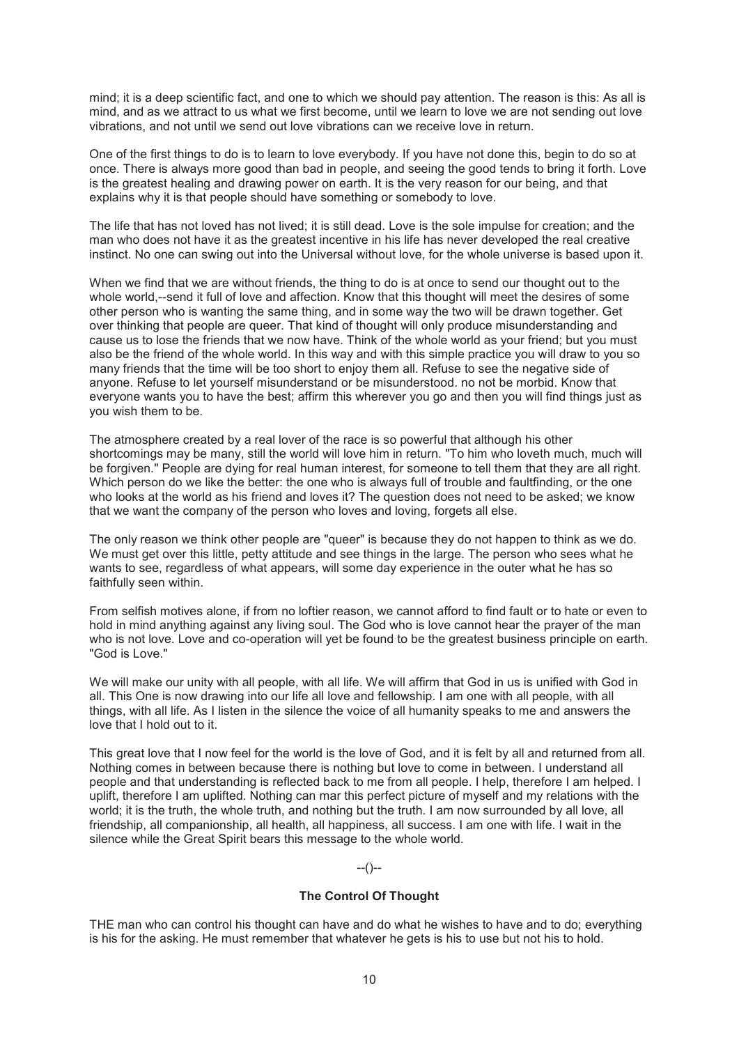mind; it is a deep scientific fact, and one to which we should pay attention. The reason is this: As all is mind, and as we attract to us what we first become, until we learn to love we are not sending out love vibrations, and not until we send out love vibrations can we receive love in return.

One of the first things to do is to learn to love everybody. If you have not done this, begin to do so at once. There is always more good than bad in people, and seeing the good tends to bring it forth. Love is the greatest healing and drawing power on earth. It is the very reason for our being, and that explains why it is that people should have something or somebody to love.

The life that has not loved has not lived; it is still dead. Love is the sole impulse for creation; and the man who does not have it as the greatest incentive in his life has never developed the real creative instinct. No one can swing out into the Universal without love, for the whole universe is based upon it.

When we find that we are without friends, the thing to do is at once to send our thought out to the whole world,--send it full of love and affection. Know that this thought will meet the desires of some other person who is wanting the same thing, and in some way the two will be drawn together. Get over thinking that people are queer. That kind of thought will only produce misunderstanding and cause us to lose the friends that we now have. Think of the whole world as your friend; but you must also be the friend of the whole world. In this way and with this simple practice you will draw to you so many friends that the time will be too short to enjoy them all. Refuse to see the negative side of anyone. Refuse to let yourself misunderstand or be misunderstood. no not be morbid. Know that everyone wants you to have the best; affirm this wherever you go and then you will find things just as you wish them to be.

The atmosphere created by a real lover of the race is so powerful that although his other shortcomings may be many, still the world will love him in return. "To him who loveth much, much will be forgiven." People are dying for real human interest, for someone to tell them that they are all right. Which person do we like the better: the one who is always full of trouble and faultfinding, or the one who looks at the world as his friend and loves it? The question does not need to be asked; we know that we want the company of the person who loves and loving, forgets all else.

The only reason we think other people are "queer" is because they do not happen to think as we do. We must get over this little, petty attitude and see things in the large. The person who sees what he wants to see, regardless of what appears, will some day experience in the outer what he has so faithfully seen within.

From selfish motives alone, if from no loftier reason, we cannot afford to find fault or to hate or even to hold in mind anything against any living soul. The God who is love cannot hear the prayer of the man who is not love. Love and co-operation will yet be found to be the greatest business principle on earth. "God is Love."

We will make our unity with all people, with all life. We will affirm that God in us is unified with God in all. This One is now drawing into our life all love and fellowship. I am one with all people, with all things, with all life. As I listen in the silence the voice of all humanity speaks to me and answers the love that I hold out to it.

This great love that I now feel for the world is the love of God, and it is felt by all and returned from all. Nothing comes in between because there is nothing but love to come in between. I understand all people and that understanding is reflected back to me from all people. I help, therefore I am helped. I uplift, therefore I am uplifted. Nothing can mar this perfect picture of myself and my relations with the world; it is the truth, the whole truth, and nothing but the truth. I am now surrounded by all love, all friendship, all companionship, all health, all happiness, all success. I am one with life. I wait in the silence while the Great Spirit bears this message to the whole world.

--()--

#### **The Control Of Thought**

THE man who can control his thought can have and do what he wishes to have and to do; everything is his for the asking. He must remember that whatever he gets is his to use but not his to hold.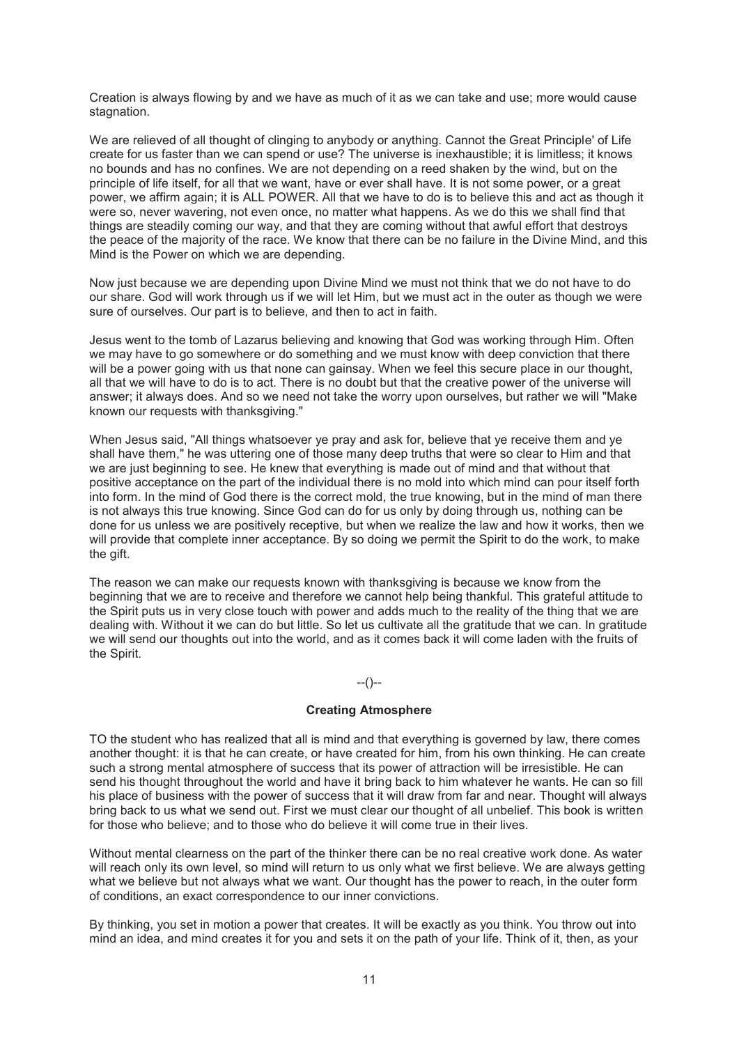Creation is always flowing by and we have as much of it as we can take and use; more would cause stagnation.

We are relieved of all thought of clinging to anybody or anything. Cannot the Great Principle' of Life create for us faster than we can spend or use? The universe is inexhaustible; it is limitless; it knows no bounds and has no confines. We are not depending on a reed shaken by the wind, but on the principle of life itself, for all that we want, have or ever shall have. It is not some power, or a great power, we affirm again; it is ALL POWER. All that we have to do is to believe this and act as though it were so, never wavering, not even once, no matter what happens. As we do this we shall find that things are steadily coming our way, and that they are coming without that awful effort that destroys the peace of the majority of the race. We know that there can be no failure in the Divine Mind, and this Mind is the Power on which we are depending.

Now just because we are depending upon Divine Mind we must not think that we do not have to do our share. God will work through us if we will let Him, but we must act in the outer as though we were sure of ourselves. Our part is to believe, and then to act in faith.

Jesus went to the tomb of Lazarus believing and knowing that God was working through Him. Often we may have to go somewhere or do something and we must know with deep conviction that there will be a power going with us that none can gainsay. When we feel this secure place in our thought, all that we will have to do is to act. There is no doubt but that the creative power of the universe will answer; it always does. And so we need not take the worry upon ourselves, but rather we will "Make known our requests with thanksgiving."

When Jesus said, "All things whatsoever ye pray and ask for, believe that ye receive them and ye shall have them," he was uttering one of those many deep truths that were so clear to Him and that we are just beginning to see. He knew that everything is made out of mind and that without that positive acceptance on the part of the individual there is no mold into which mind can pour itself forth into form. In the mind of God there is the correct mold, the true knowing, but in the mind of man there is not always this true knowing. Since God can do for us only by doing through us, nothing can be done for us unless we are positively receptive, but when we realize the law and how it works, then we will provide that complete inner acceptance. By so doing we permit the Spirit to do the work, to make the gift.

The reason we can make our requests known with thanksgiving is because we know from the beginning that we are to receive and therefore we cannot help being thankful. This grateful attitude to the Spirit puts us in very close touch with power and adds much to the reality of the thing that we are dealing with. Without it we can do but little. So let us cultivate all the gratitude that we can. In gratitude we will send our thoughts out into the world, and as it comes back it will come laden with the fruits of the Spirit.

--()--

## **Creating Atmosphere**

TO the student who has realized that all is mind and that everything is governed by law, there comes another thought: it is that he can create, or have created for him, from his own thinking. He can create such a strong mental atmosphere of success that its power of attraction will be irresistible. He can send his thought throughout the world and have it bring back to him whatever he wants. He can so fill his place of business with the power of success that it will draw from far and near. Thought will always bring back to us what we send out. First we must clear our thought of all unbelief. This book is written for those who believe; and to those who do believe it will come true in their lives.

Without mental clearness on the part of the thinker there can be no real creative work done. As water will reach only its own level, so mind will return to us only what we first believe. We are always getting what we believe but not always what we want. Our thought has the power to reach, in the outer form of conditions, an exact correspondence to our inner convictions.

By thinking, you set in motion a power that creates. It will be exactly as you think. You throw out into mind an idea, and mind creates it for you and sets it on the path of your life. Think of it, then, as your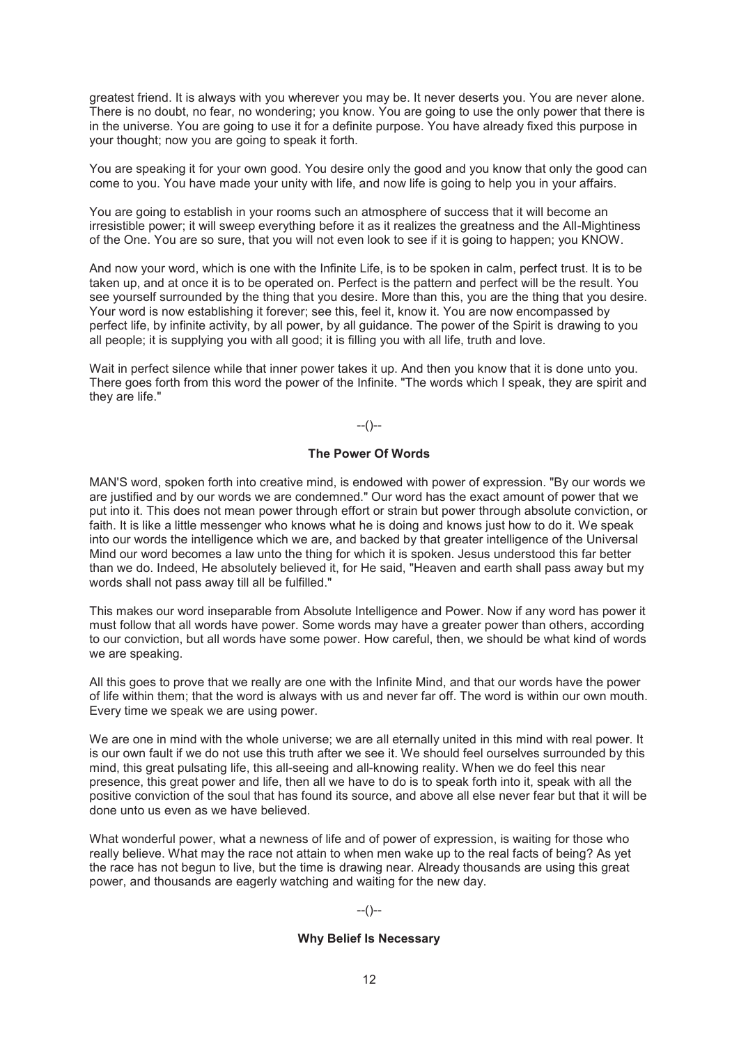greatest friend. It is always with you wherever you may be. It never deserts you. You are never alone. There is no doubt, no fear, no wondering; you know. You are going to use the only power that there is in the universe. You are going to use it for a definite purpose. You have already fixed this purpose in your thought; now you are going to speak it forth.

You are speaking it for your own good. You desire only the good and you know that only the good can come to you. You have made your unity with life, and now life is going to help you in your affairs.

You are going to establish in your rooms such an atmosphere of success that it will become an irresistible power; it will sweep everything before it as it realizes the greatness and the All-Mightiness of the One. You are so sure, that you will not even look to see if it is going to happen; you KNOW.

And now your word, which is one with the Infinite Life, is to be spoken in calm, perfect trust. It is to be taken up, and at once it is to be operated on. Perfect is the pattern and perfect will be the result. You see yourself surrounded by the thing that you desire. More than this, you are the thing that you desire. Your word is now establishing it forever; see this, feel it, know it. You are now encompassed by perfect life, by infinite activity, by all power, by all guidance. The power of the Spirit is drawing to you all people; it is supplying you with all good; it is filling you with all life, truth and love.

Wait in perfect silence while that inner power takes it up. And then you know that it is done unto you. There goes forth from this word the power of the Infinite. "The words which I speak, they are spirit and they are life."

 $-(-)$ 

### **The Power Of Words**

MAN'S word, spoken forth into creative mind, is endowed with power of expression. "By our words we are justified and by our words we are condemned." Our word has the exact amount of power that we put into it. This does not mean power through effort or strain but power through absolute conviction, or faith. It is like a little messenger who knows what he is doing and knows just how to do it. We speak into our words the intelligence which we are, and backed by that greater intelligence of the Universal Mind our word becomes a law unto the thing for which it is spoken. Jesus understood this far better than we do. Indeed, He absolutely believed it, for He said, "Heaven and earth shall pass away but my words shall not pass away till all be fulfilled."

This makes our word inseparable from Absolute Intelligence and Power. Now if any word has power it must follow that all words have power. Some words may have a greater power than others, according to our conviction, but all words have some power. How careful, then, we should be what kind of words we are speaking.

All this goes to prove that we really are one with the Infinite Mind, and that our words have the power of life within them; that the word is always with us and never far off. The word is within our own mouth. Every time we speak we are using power.

We are one in mind with the whole universe; we are all eternally united in this mind with real power. It is our own fault if we do not use this truth after we see it. We should feel ourselves surrounded by this mind, this great pulsating life, this all-seeing and all-knowing reality. When we do feel this near presence, this great power and life, then all we have to do is to speak forth into it, speak with all the positive conviction of the soul that has found its source, and above all else never fear but that it will be done unto us even as we have believed.

What wonderful power, what a newness of life and of power of expression, is waiting for those who really believe. What may the race not attain to when men wake up to the real facts of being? As yet the race has not begun to live, but the time is drawing near. Already thousands are using this great power, and thousands are eagerly watching and waiting for the new day.

# $-(-)$

# **Why Belief Is Necessary**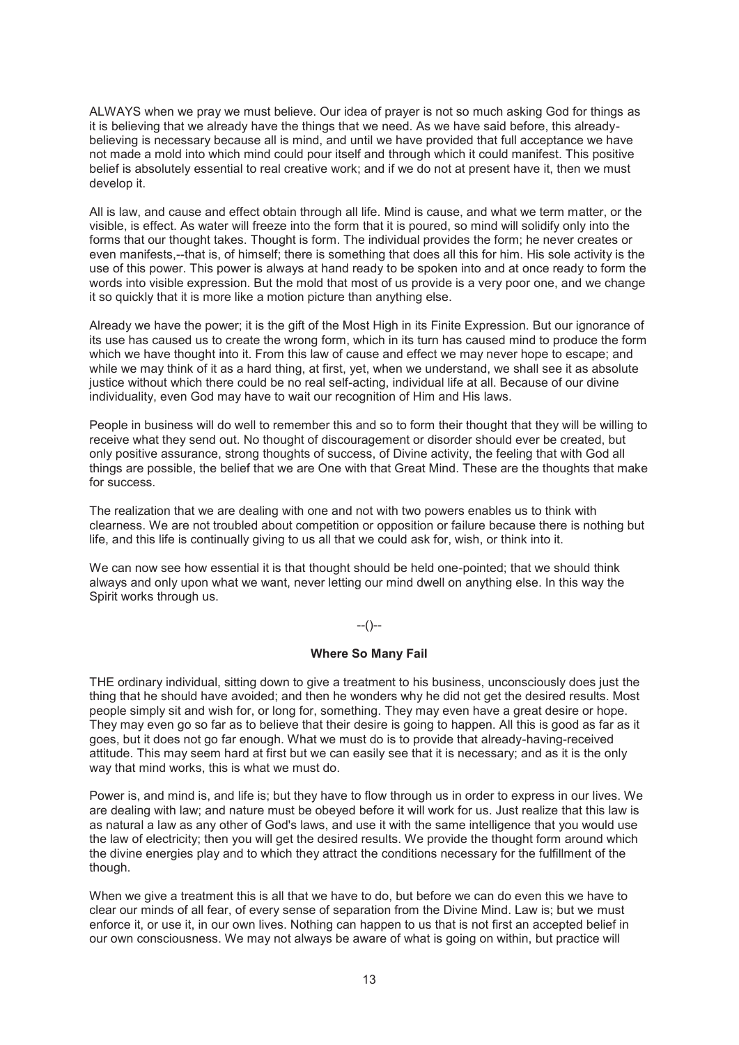ALWAYS when we pray we must believe. Our idea of prayer is not so much asking God for things as it is believing that we already have the things that we need. As we have said before, this alreadybelieving is necessary because all is mind, and until we have provided that full acceptance we have not made a mold into which mind could pour itself and through which it could manifest. This positive belief is absolutely essential to real creative work; and if we do not at present have it, then we must develop it.

All is law, and cause and effect obtain through all life. Mind is cause, and what we term matter, or the visible, is effect. As water will freeze into the form that it is poured, so mind will solidify only into the forms that our thought takes. Thought is form. The individual provides the form; he never creates or even manifests,--that is, of himself; there is something that does all this for him. His sole activity is the use of this power. This power is always at hand ready to be spoken into and at once ready to form the words into visible expression. But the mold that most of us provide is a very poor one, and we change it so quickly that it is more like a motion picture than anything else.

Already we have the power; it is the gift of the Most High in its Finite Expression. But our ignorance of its use has caused us to create the wrong form, which in its turn has caused mind to produce the form which we have thought into it. From this law of cause and effect we may never hope to escape; and while we may think of it as a hard thing, at first, yet, when we understand, we shall see it as absolute justice without which there could be no real self-acting, individual life at all. Because of our divine individuality, even God may have to wait our recognition of Him and His laws.

People in business will do well to remember this and so to form their thought that they will be willing to receive what they send out. No thought of discouragement or disorder should ever be created, but only positive assurance, strong thoughts of success, of Divine activity, the feeling that with God all things are possible, the belief that we are One with that Great Mind. These are the thoughts that make for success.

The realization that we are dealing with one and not with two powers enables us to think with clearness. We are not troubled about competition or opposition or failure because there is nothing but life, and this life is continually giving to us all that we could ask for, wish, or think into it.

We can now see how essential it is that thought should be held one-pointed; that we should think always and only upon what we want, never letting our mind dwell on anything else. In this way the Spirit works through us.

## --()--

### **Where So Many Fail**

THE ordinary individual, sitting down to give a treatment to his business, unconsciously does just the thing that he should have avoided; and then he wonders why he did not get the desired results. Most people simply sit and wish for, or long for, something. They may even have a great desire or hope. They may even go so far as to believe that their desire is going to happen. All this is good as far as it goes, but it does not go far enough. What we must do is to provide that already-having-received attitude. This may seem hard at first but we can easily see that it is necessary; and as it is the only way that mind works, this is what we must do.

Power is, and mind is, and life is; but they have to flow through us in order to express in our lives. We are dealing with law; and nature must be obeyed before it will work for us. Just realize that this law is as natural a law as any other of God's laws, and use it with the same intelligence that you would use the law of electricity; then you will get the desired results. We provide the thought form around which the divine energies play and to which they attract the conditions necessary for the fulfillment of the though.

When we give a treatment this is all that we have to do, but before we can do even this we have to clear our minds of all fear, of every sense of separation from the Divine Mind. Law is; but we must enforce it, or use it, in our own lives. Nothing can happen to us that is not first an accepted belief in our own consciousness. We may not always be aware of what is going on within, but practice will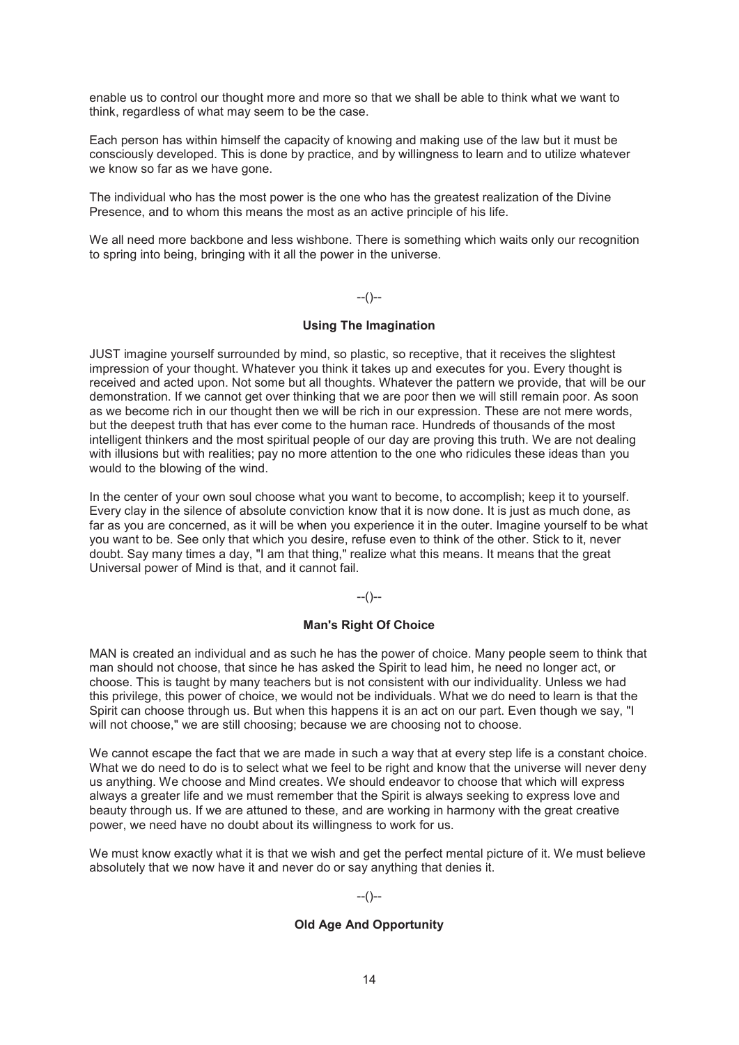enable us to control our thought more and more so that we shall be able to think what we want to think, regardless of what may seem to be the case.

Each person has within himself the capacity of knowing and making use of the law but it must be consciously developed. This is done by practice, and by willingness to learn and to utilize whatever we know so far as we have gone.

The individual who has the most power is the one who has the greatest realization of the Divine Presence, and to whom this means the most as an active principle of his life.

We all need more backbone and less wishbone. There is something which waits only our recognition to spring into being, bringing with it all the power in the universe.

--()--

# **Using The Imagination**

JUST imagine yourself surrounded by mind, so plastic, so receptive, that it receives the slightest impression of your thought. Whatever you think it takes up and executes for you. Every thought is received and acted upon. Not some but all thoughts. Whatever the pattern we provide, that will be our demonstration. If we cannot get over thinking that we are poor then we will still remain poor. As soon as we become rich in our thought then we will be rich in our expression. These are not mere words, but the deepest truth that has ever come to the human race. Hundreds of thousands of the most intelligent thinkers and the most spiritual people of our day are proving this truth. We are not dealing with illusions but with realities; pay no more attention to the one who ridicules these ideas than you would to the blowing of the wind.

In the center of your own soul choose what you want to become, to accomplish; keep it to yourself. Every clay in the silence of absolute conviction know that it is now done. It is just as much done, as far as you are concerned, as it will be when you experience it in the outer. Imagine yourself to be what you want to be. See only that which you desire, refuse even to think of the other. Stick to it, never doubt. Say many times a day, "I am that thing," realize what this means. It means that the great Universal power of Mind is that, and it cannot fail.

--()--

## **Man's Right Of Choice**

MAN is created an individual and as such he has the power of choice. Many people seem to think that man should not choose, that since he has asked the Spirit to lead him, he need no longer act, or choose. This is taught by many teachers but is not consistent with our individuality. Unless we had this privilege, this power of choice, we would not be individuals. What we do need to learn is that the Spirit can choose through us. But when this happens it is an act on our part. Even though we say, "I will not choose," we are still choosing; because we are choosing not to choose.

We cannot escape the fact that we are made in such a way that at every step life is a constant choice. What we do need to do is to select what we feel to be right and know that the universe will never deny us anything. We choose and Mind creates. We should endeavor to choose that which will express always a greater life and we must remember that the Spirit is always seeking to express love and beauty through us. If we are attuned to these, and are working in harmony with the great creative power, we need have no doubt about its willingness to work for us.

We must know exactly what it is that we wish and get the perfect mental picture of it. We must believe absolutely that we now have it and never do or say anything that denies it.

# --()--

# **Old Age And Opportunity**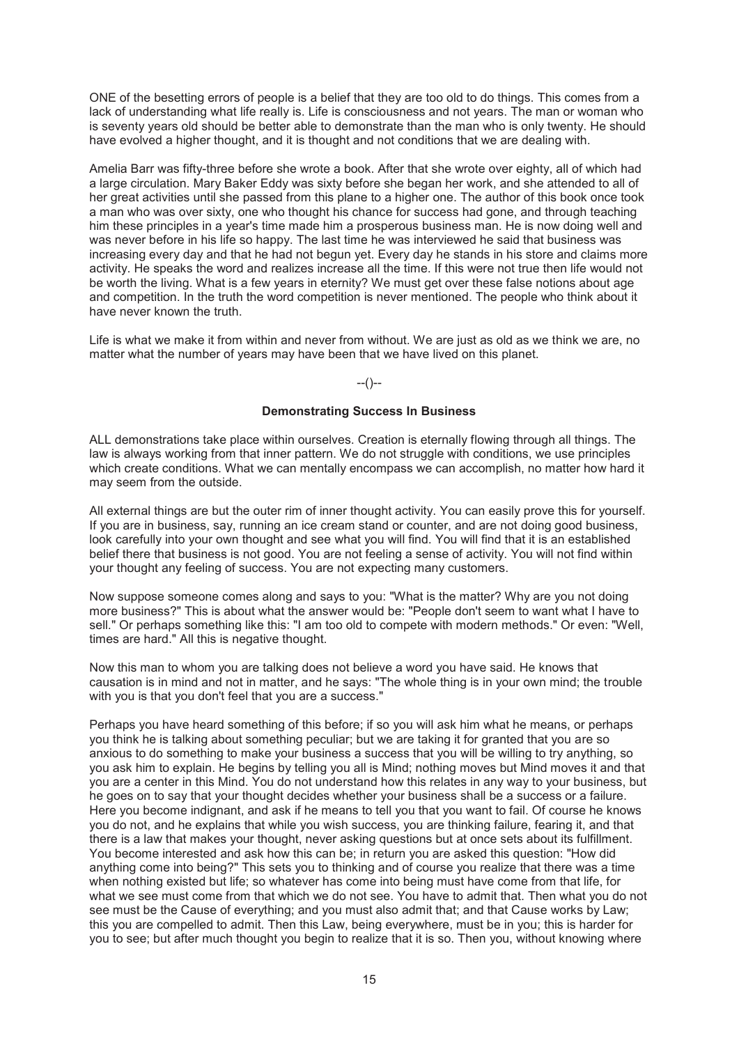ONE of the besetting errors of people is a belief that they are too old to do things. This comes from a lack of understanding what life really is. Life is consciousness and not years. The man or woman who is seventy years old should be better able to demonstrate than the man who is only twenty. He should have evolved a higher thought, and it is thought and not conditions that we are dealing with.

Amelia Barr was fifty-three before she wrote a book. After that she wrote over eighty, all of which had a large circulation. Mary Baker Eddy was sixty before she began her work, and she attended to all of her great activities until she passed from this plane to a higher one. The author of this book once took a man who was over sixty, one who thought his chance for success had gone, and through teaching him these principles in a year's time made him a prosperous business man. He is now doing well and was never before in his life so happy. The last time he was interviewed he said that business was increasing every day and that he had not begun yet. Every day he stands in his store and claims more activity. He speaks the word and realizes increase all the time. If this were not true then life would not be worth the living. What is a few years in eternity? We must get over these false notions about age and competition. In the truth the word competition is never mentioned. The people who think about it have never known the truth.

Life is what we make it from within and never from without. We are just as old as we think we are, no matter what the number of years may have been that we have lived on this planet.

 $-(-)$ 

#### **Demonstrating Success In Business**

ALL demonstrations take place within ourselves. Creation is eternally flowing through all things. The law is always working from that inner pattern. We do not struggle with conditions, we use principles which create conditions. What we can mentally encompass we can accomplish, no matter how hard it may seem from the outside.

All external things are but the outer rim of inner thought activity. You can easily prove this for yourself. If you are in business, say, running an ice cream stand or counter, and are not doing good business, look carefully into your own thought and see what you will find. You will find that it is an established belief there that business is not good. You are not feeling a sense of activity. You will not find within your thought any feeling of success. You are not expecting many customers.

Now suppose someone comes along and says to you: "What is the matter? Why are you not doing more business?" This is about what the answer would be: "People don't seem to want what I have to sell." Or perhaps something like this: "I am too old to compete with modern methods." Or even: "Well, times are hard." All this is negative thought.

Now this man to whom you are talking does not believe a word you have said. He knows that causation is in mind and not in matter, and he says: "The whole thing is in your own mind; the trouble with you is that you don't feel that you are a success."

Perhaps you have heard something of this before; if so you will ask him what he means, or perhaps you think he is talking about something peculiar; but we are taking it for granted that you are so anxious to do something to make your business a success that you will be willing to try anything, so you ask him to explain. He begins by telling you all is Mind; nothing moves but Mind moves it and that you are a center in this Mind. You do not understand how this relates in any way to your business, but he goes on to say that your thought decides whether your business shall be a success or a failure. Here you become indignant, and ask if he means to tell you that you want to fail. Of course he knows you do not, and he explains that while you wish success, you are thinking failure, fearing it, and that there is a law that makes your thought, never asking questions but at once sets about its fulfillment. You become interested and ask how this can be; in return you are asked this question: "How did anything come into being?" This sets you to thinking and of course you realize that there was a time when nothing existed but life; so whatever has come into being must have come from that life, for what we see must come from that which we do not see. You have to admit that. Then what you do not see must be the Cause of everything; and you must also admit that; and that Cause works by Law; this you are compelled to admit. Then this Law, being everywhere, must be in you; this is harder for you to see; but after much thought you begin to realize that it is so. Then you, without knowing where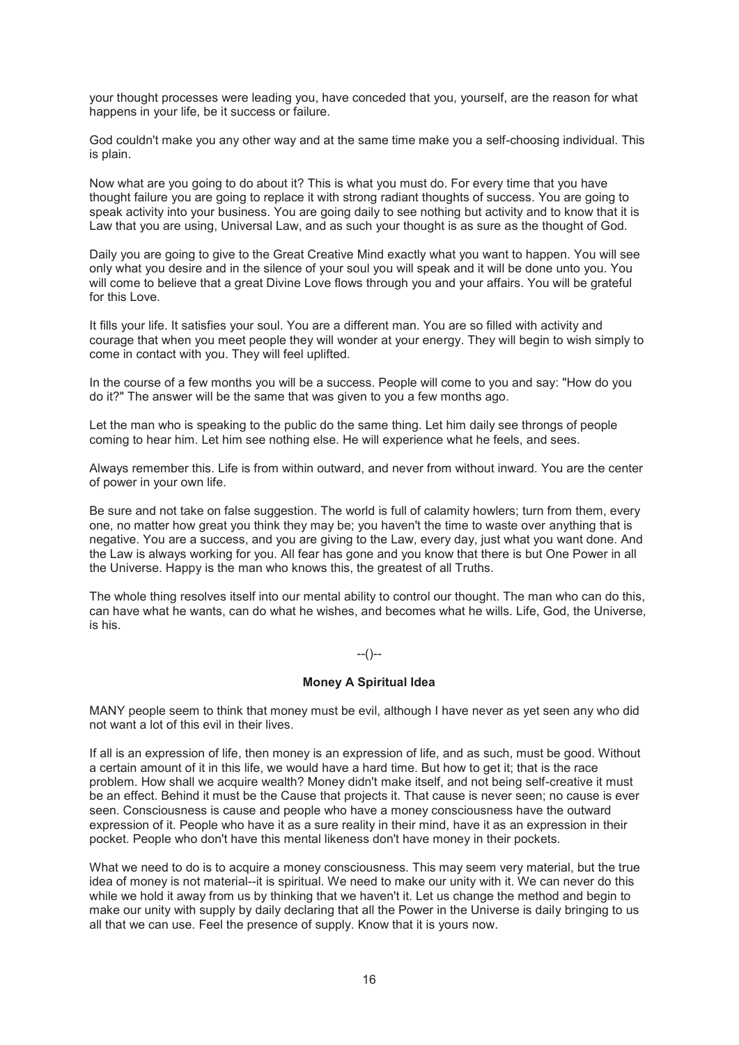your thought processes were leading you, have conceded that you, yourself, are the reason for what happens in your life, be it success or failure.

God couldn't make you any other way and at the same time make you a self-choosing individual. This is plain.

Now what are you going to do about it? This is what you must do. For every time that you have thought failure you are going to replace it with strong radiant thoughts of success. You are going to speak activity into your business. You are going daily to see nothing but activity and to know that it is Law that you are using, Universal Law, and as such your thought is as sure as the thought of God.

Daily you are going to give to the Great Creative Mind exactly what you want to happen. You will see only what you desire and in the silence of your soul you will speak and it will be done unto you. You will come to believe that a great Divine Love flows through you and your affairs. You will be grateful for this Love.

It fills your life. It satisfies your soul. You are a different man. You are so filled with activity and courage that when you meet people they will wonder at your energy. They will begin to wish simply to come in contact with you. They will feel uplifted.

In the course of a few months you will be a success. People will come to you and say: "How do you do it?" The answer will be the same that was given to you a few months ago.

Let the man who is speaking to the public do the same thing. Let him daily see throngs of people coming to hear him. Let him see nothing else. He will experience what he feels, and sees.

Always remember this. Life is from within outward, and never from without inward. You are the center of power in your own life.

Be sure and not take on false suggestion. The world is full of calamity howlers; turn from them, every one, no matter how great you think they may be; you haven't the time to waste over anything that is negative. You are a success, and you are giving to the Law, every day, just what you want done. And the Law is always working for you. All fear has gone and you know that there is but One Power in all the Universe. Happy is the man who knows this, the greatest of all Truths.

The whole thing resolves itself into our mental ability to control our thought. The man who can do this, can have what he wants, can do what he wishes, and becomes what he wills. Life, God, the Universe, is his.

--()--

# **Money A Spiritual Idea**

MANY people seem to think that money must be evil, although I have never as yet seen any who did not want a lot of this evil in their lives.

If all is an expression of life, then money is an expression of life, and as such, must be good. Without a certain amount of it in this life, we would have a hard time. But how to get it; that is the race problem. How shall we acquire wealth? Money didn't make itself, and not being self-creative it must be an effect. Behind it must be the Cause that projects it. That cause is never seen; no cause is ever seen. Consciousness is cause and people who have a money consciousness have the outward expression of it. People who have it as a sure reality in their mind, have it as an expression in their pocket. People who don't have this mental likeness don't have money in their pockets.

What we need to do is to acquire a money consciousness. This may seem very material, but the true idea of money is not material--it is spiritual. We need to make our unity with it. We can never do this while we hold it away from us by thinking that we haven't it. Let us change the method and begin to make our unity with supply by daily declaring that all the Power in the Universe is daily bringing to us all that we can use. Feel the presence of supply. Know that it is yours now.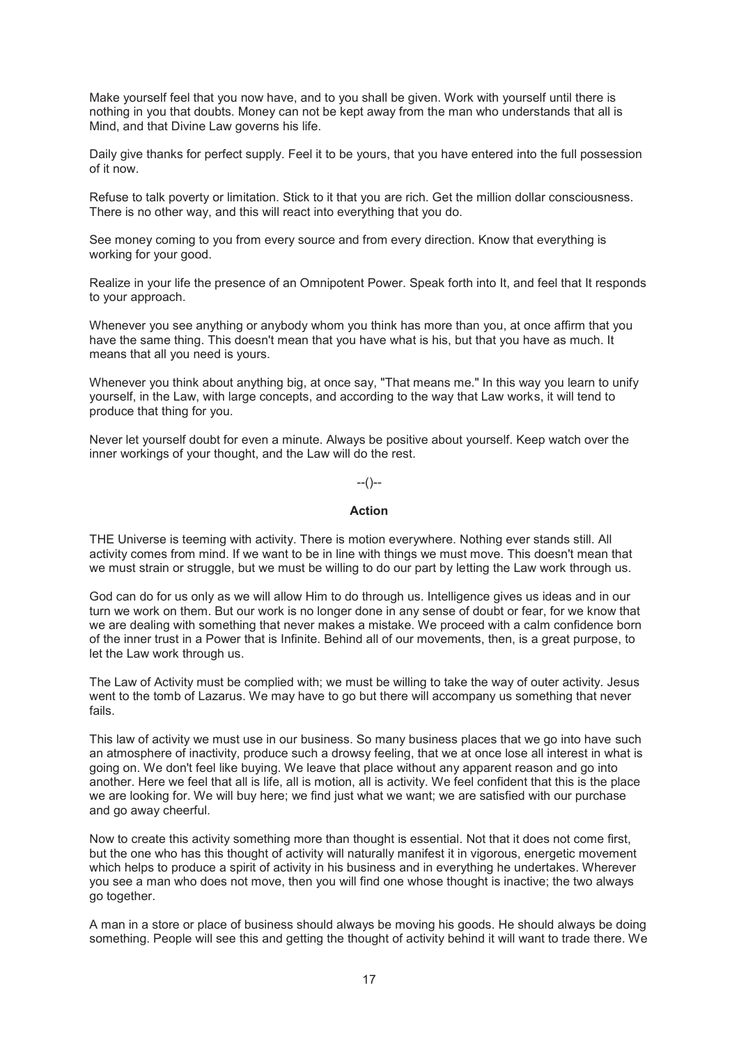Make yourself feel that you now have, and to you shall be given. Work with yourself until there is nothing in you that doubts. Money can not be kept away from the man who understands that all is Mind, and that Divine Law governs his life.

Daily give thanks for perfect supply. Feel it to be yours, that you have entered into the full possession of it now.

Refuse to talk poverty or limitation. Stick to it that you are rich. Get the million dollar consciousness. There is no other way, and this will react into everything that you do.

See money coming to you from every source and from every direction. Know that everything is working for your good.

Realize in your life the presence of an Omnipotent Power. Speak forth into It, and feel that It responds to your approach.

Whenever you see anything or anybody whom you think has more than you, at once affirm that you have the same thing. This doesn't mean that you have what is his, but that you have as much. It means that all you need is yours.

Whenever you think about anything big, at once say, "That means me." In this way you learn to unify yourself, in the Law, with large concepts, and according to the way that Law works, it will tend to produce that thing for you.

Never let yourself doubt for even a minute. Always be positive about yourself. Keep watch over the inner workings of your thought, and the Law will do the rest.

 $-(-)$ 

# **Action**

THE Universe is teeming with activity. There is motion everywhere. Nothing ever stands still. All activity comes from mind. If we want to be in line with things we must move. This doesn't mean that we must strain or struggle, but we must be willing to do our part by letting the Law work through us.

God can do for us only as we will allow Him to do through us. Intelligence gives us ideas and in our turn we work on them. But our work is no longer done in any sense of doubt or fear, for we know that we are dealing with something that never makes a mistake. We proceed with a calm confidence born of the inner trust in a Power that is Infinite. Behind all of our movements, then, is a great purpose, to let the Law work through us.

The Law of Activity must be complied with; we must be willing to take the way of outer activity. Jesus went to the tomb of Lazarus. We may have to go but there will accompany us something that never fails.

This law of activity we must use in our business. So many business places that we go into have such an atmosphere of inactivity, produce such a drowsy feeling, that we at once lose all interest in what is going on. We don't feel like buying. We leave that place without any apparent reason and go into another. Here we feel that all is life, all is motion, all is activity. We feel confident that this is the place we are looking for. We will buy here; we find just what we want; we are satisfied with our purchase and go away cheerful.

Now to create this activity something more than thought is essential. Not that it does not come first, but the one who has this thought of activity will naturally manifest it in vigorous, energetic movement which helps to produce a spirit of activity in his business and in everything he undertakes. Wherever you see a man who does not move, then you will find one whose thought is inactive; the two always go together.

A man in a store or place of business should always be moving his goods. He should always be doing something. People will see this and getting the thought of activity behind it will want to trade there. We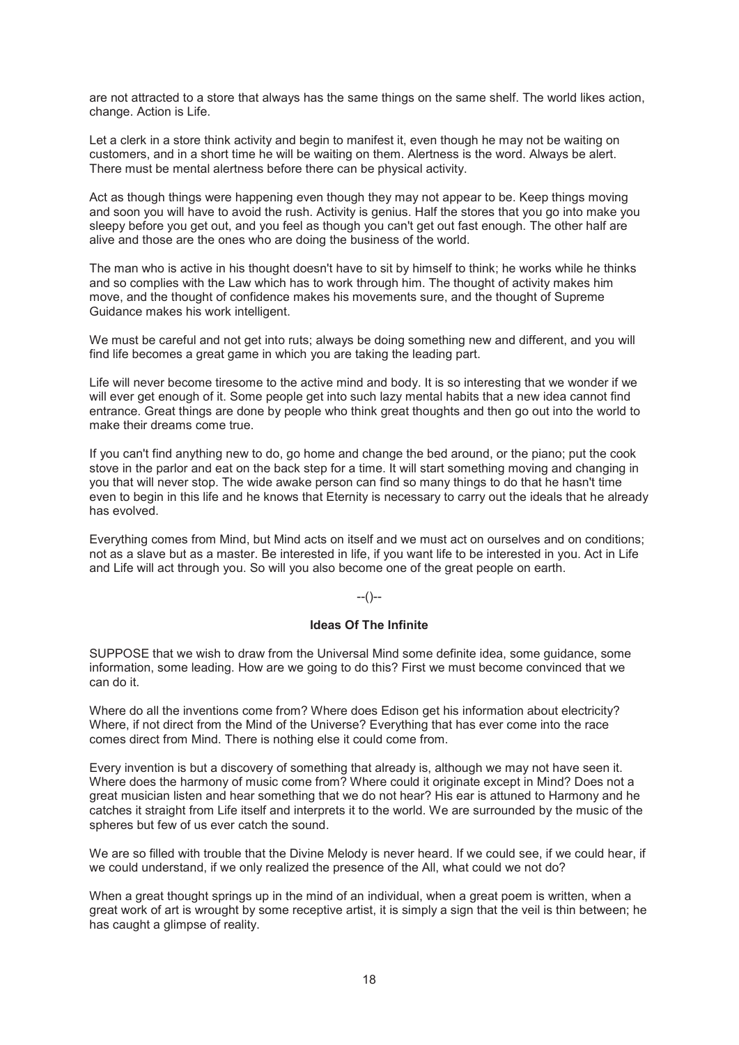are not attracted to a store that always has the same things on the same shelf. The world likes action, change. Action is Life.

Let a clerk in a store think activity and begin to manifest it, even though he may not be waiting on customers, and in a short time he will be waiting on them. Alertness is the word. Always be alert. There must be mental alertness before there can be physical activity.

Act as though things were happening even though they may not appear to be. Keep things moving and soon you will have to avoid the rush. Activity is genius. Half the stores that you go into make you sleepy before you get out, and you feel as though you can't get out fast enough. The other half are alive and those are the ones who are doing the business of the world.

The man who is active in his thought doesn't have to sit by himself to think; he works while he thinks and so complies with the Law which has to work through him. The thought of activity makes him move, and the thought of confidence makes his movements sure, and the thought of Supreme Guidance makes his work intelligent.

We must be careful and not get into ruts; always be doing something new and different, and you will find life becomes a great game in which you are taking the leading part.

Life will never become tiresome to the active mind and body. It is so interesting that we wonder if we will ever get enough of it. Some people get into such lazy mental habits that a new idea cannot find entrance. Great things are done by people who think great thoughts and then go out into the world to make their dreams come true.

If you can't find anything new to do, go home and change the bed around, or the piano; put the cook stove in the parlor and eat on the back step for a time. It will start something moving and changing in you that will never stop. The wide awake person can find so many things to do that he hasn't time even to begin in this life and he knows that Eternity is necessary to carry out the ideals that he already has evolved.

Everything comes from Mind, but Mind acts on itself and we must act on ourselves and on conditions; not as a slave but as a master. Be interested in life, if you want life to be interested in you. Act in Life and Life will act through you. So will you also become one of the great people on earth.

 $-(-)$ 

## **Ideas Of The Infinite**

SUPPOSE that we wish to draw from the Universal Mind some definite idea, some guidance, some information, some leading. How are we going to do this? First we must become convinced that we can do it.

Where do all the inventions come from? Where does Edison get his information about electricity? Where, if not direct from the Mind of the Universe? Everything that has ever come into the race comes direct from Mind. There is nothing else it could come from.

Every invention is but a discovery of something that already is, although we may not have seen it. Where does the harmony of music come from? Where could it originate except in Mind? Does not a great musician listen and hear something that we do not hear? His ear is attuned to Harmony and he catches it straight from Life itself and interprets it to the world. We are surrounded by the music of the spheres but few of us ever catch the sound.

We are so filled with trouble that the Divine Melody is never heard. If we could see, if we could hear, if we could understand, if we only realized the presence of the All, what could we not do?

When a great thought springs up in the mind of an individual, when a great poem is written, when a great work of art is wrought by some receptive artist, it is simply a sign that the veil is thin between; he has caught a glimpse of reality.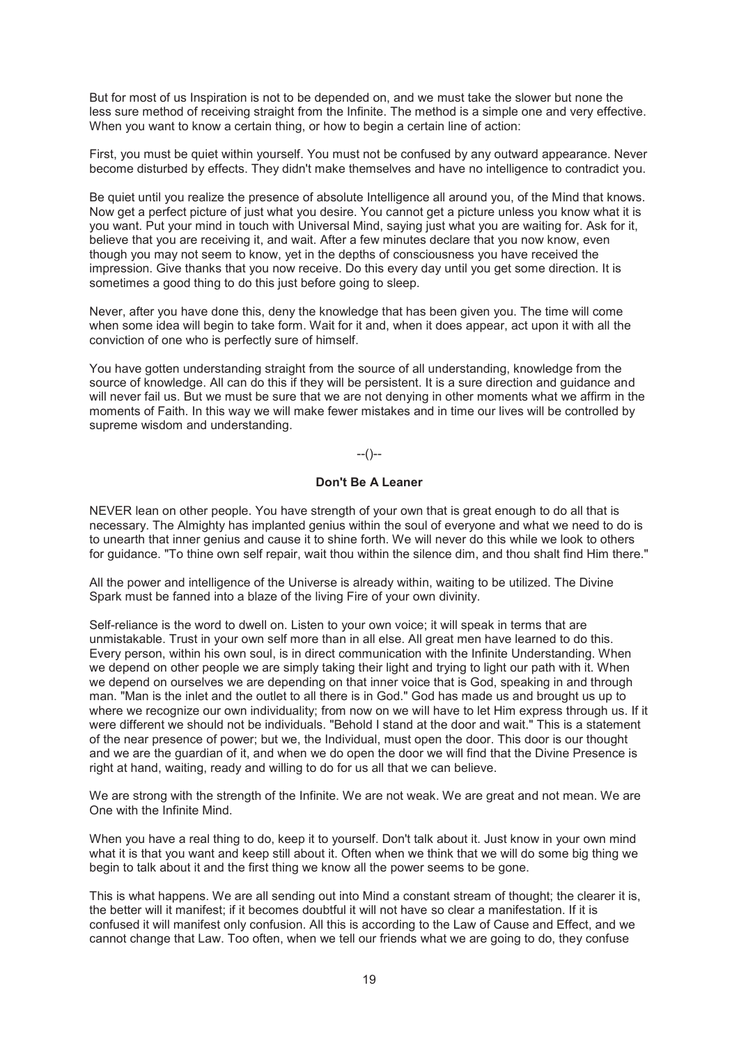But for most of us Inspiration is not to be depended on, and we must take the slower but none the less sure method of receiving straight from the Infinite. The method is a simple one and very effective. When you want to know a certain thing, or how to begin a certain line of action:

First, you must be quiet within yourself. You must not be confused by any outward appearance. Never become disturbed by effects. They didn't make themselves and have no intelligence to contradict you.

Be quiet until you realize the presence of absolute Intelligence all around you, of the Mind that knows. Now get a perfect picture of just what you desire. You cannot get a picture unless you know what it is you want. Put your mind in touch with Universal Mind, saying just what you are waiting for. Ask for it, believe that you are receiving it, and wait. After a few minutes declare that you now know, even though you may not seem to know, yet in the depths of consciousness you have received the impression. Give thanks that you now receive. Do this every day until you get some direction. It is sometimes a good thing to do this just before going to sleep.

Never, after you have done this, deny the knowledge that has been given you. The time will come when some idea will begin to take form. Wait for it and, when it does appear, act upon it with all the conviction of one who is perfectly sure of himself.

You have gotten understanding straight from the source of all understanding, knowledge from the source of knowledge. All can do this if they will be persistent. It is a sure direction and guidance and will never fail us. But we must be sure that we are not denying in other moments what we affirm in the moments of Faith. In this way we will make fewer mistakes and in time our lives will be controlled by supreme wisdom and understanding.

--()--

# **Don't Be A Leaner**

NEVER lean on other people. You have strength of your own that is great enough to do all that is necessary. The Almighty has implanted genius within the soul of everyone and what we need to do is to unearth that inner genius and cause it to shine forth. We will never do this while we look to others for guidance. "To thine own self repair, wait thou within the silence dim, and thou shalt find Him there."

All the power and intelligence of the Universe is already within, waiting to be utilized. The Divine Spark must be fanned into a blaze of the living Fire of your own divinity.

Self-reliance is the word to dwell on. Listen to your own voice; it will speak in terms that are unmistakable. Trust in your own self more than in all else. All great men have learned to do this. Every person, within his own soul, is in direct communication with the Infinite Understanding. When we depend on other people we are simply taking their light and trying to light our path with it. When we depend on ourselves we are depending on that inner voice that is God, speaking in and through man. "Man is the inlet and the outlet to all there is in God." God has made us and brought us up to where we recognize our own individuality; from now on we will have to let Him express through us. If it were different we should not be individuals. "Behold I stand at the door and wait." This is a statement of the near presence of power; but we, the Individual, must open the door. This door is our thought and we are the guardian of it, and when we do open the door we will find that the Divine Presence is right at hand, waiting, ready and willing to do for us all that we can believe.

We are strong with the strength of the Infinite. We are not weak. We are great and not mean. We are One with the Infinite Mind.

When you have a real thing to do, keep it to yourself. Don't talk about it. Just know in your own mind what it is that you want and keep still about it. Often when we think that we will do some big thing we begin to talk about it and the first thing we know all the power seems to be gone.

This is what happens. We are all sending out into Mind a constant stream of thought; the clearer it is, the better will it manifest; if it becomes doubtful it will not have so clear a manifestation. If it is confused it will manifest only confusion. All this is according to the Law of Cause and Effect, and we cannot change that Law. Too often, when we tell our friends what we are going to do, they confuse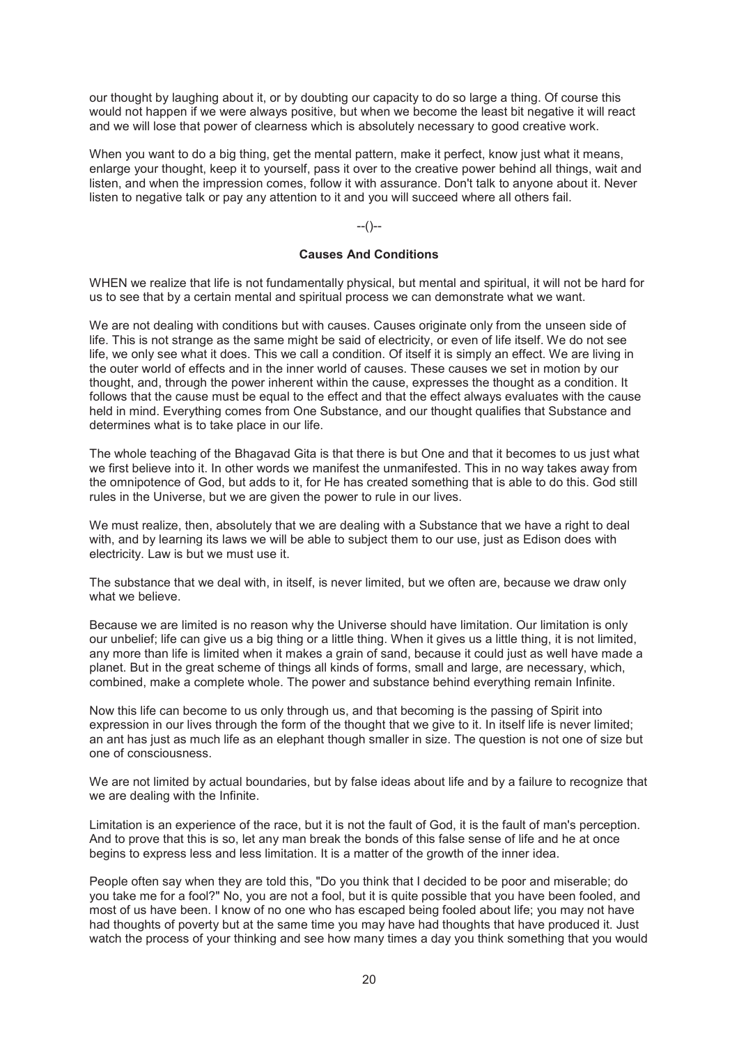our thought by laughing about it, or by doubting our capacity to do so large a thing. Of course this would not happen if we were always positive, but when we become the least bit negative it will react and we will lose that power of clearness which is absolutely necessary to good creative work.

When you want to do a big thing, get the mental pattern, make it perfect, know just what it means, enlarge your thought, keep it to yourself, pass it over to the creative power behind all things, wait and listen, and when the impression comes, follow it with assurance. Don't talk to anyone about it. Never listen to negative talk or pay any attention to it and you will succeed where all others fail.

## $-(-)$

## **Causes And Conditions**

WHEN we realize that life is not fundamentally physical, but mental and spiritual, it will not be hard for us to see that by a certain mental and spiritual process we can demonstrate what we want.

We are not dealing with conditions but with causes. Causes originate only from the unseen side of life. This is not strange as the same might be said of electricity, or even of life itself. We do not see life, we only see what it does. This we call a condition. Of itself it is simply an effect. We are living in the outer world of effects and in the inner world of causes. These causes we set in motion by our thought, and, through the power inherent within the cause, expresses the thought as a condition. It follows that the cause must be equal to the effect and that the effect always evaluates with the cause held in mind. Everything comes from One Substance, and our thought qualifies that Substance and determines what is to take place in our life.

The whole teaching of the Bhagavad Gita is that there is but One and that it becomes to us just what we first believe into it. In other words we manifest the unmanifested. This in no way takes away from the omnipotence of God, but adds to it, for He has created something that is able to do this. God still rules in the Universe, but we are given the power to rule in our lives.

We must realize, then, absolutely that we are dealing with a Substance that we have a right to deal with, and by learning its laws we will be able to subject them to our use, just as Edison does with electricity. Law is but we must use it.

The substance that we deal with, in itself, is never limited, but we often are, because we draw only what we believe.

Because we are limited is no reason why the Universe should have limitation. Our limitation is only our unbelief; life can give us a big thing or a little thing. When it gives us a little thing, it is not limited, any more than life is limited when it makes a grain of sand, because it could just as well have made a planet. But in the great scheme of things all kinds of forms, small and large, are necessary, which, combined, make a complete whole. The power and substance behind everything remain Infinite.

Now this life can become to us only through us, and that becoming is the passing of Spirit into expression in our lives through the form of the thought that we give to it. In itself life is never limited; an ant has just as much life as an elephant though smaller in size. The question is not one of size but one of consciousness.

We are not limited by actual boundaries, but by false ideas about life and by a failure to recognize that we are dealing with the Infinite.

Limitation is an experience of the race, but it is not the fault of God, it is the fault of man's perception. And to prove that this is so, let any man break the bonds of this false sense of life and he at once begins to express less and less limitation. It is a matter of the growth of the inner idea.

People often say when they are told this, "Do you think that I decided to be poor and miserable; do you take me for a fool?" No, you are not a fool, but it is quite possible that you have been fooled, and most of us have been. I know of no one who has escaped being fooled about life; you may not have had thoughts of poverty but at the same time you may have had thoughts that have produced it. Just watch the process of your thinking and see how many times a day you think something that you would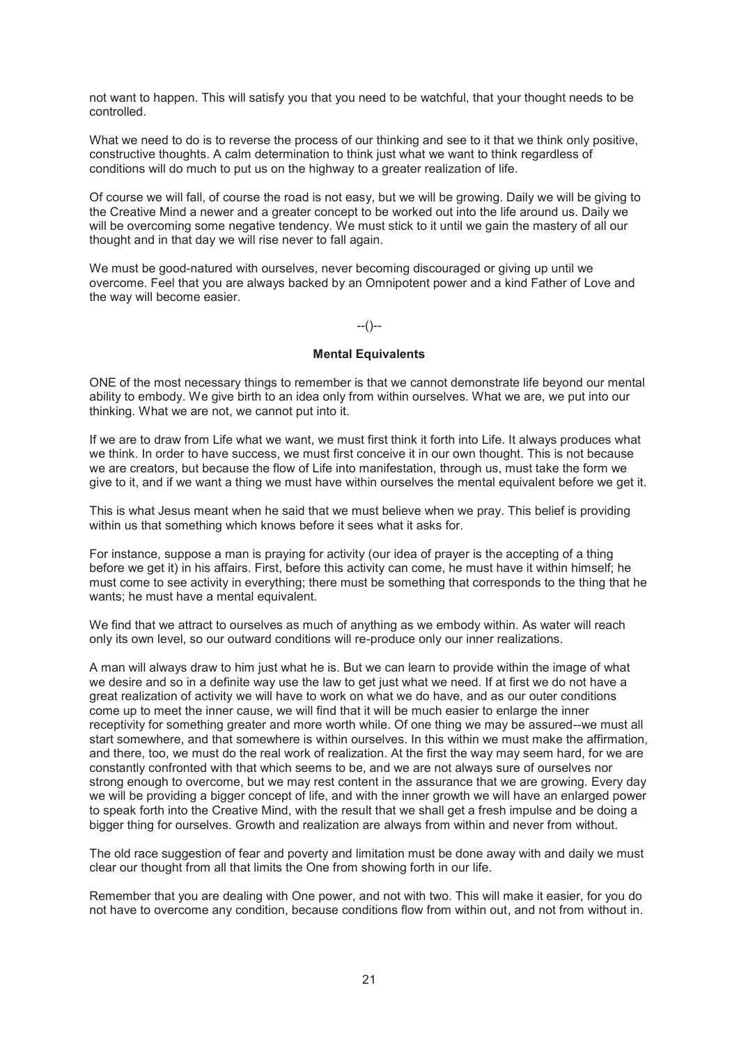not want to happen. This will satisfy you that you need to be watchful, that your thought needs to be controlled.

What we need to do is to reverse the process of our thinking and see to it that we think only positive, constructive thoughts. A calm determination to think just what we want to think regardless of conditions will do much to put us on the highway to a greater realization of life.

Of course we will fall, of course the road is not easy, but we will be growing. Daily we will be giving to the Creative Mind a newer and a greater concept to be worked out into the life around us. Daily we will be overcoming some negative tendency. We must stick to it until we gain the mastery of all our thought and in that day we will rise never to fall again.

We must be good-natured with ourselves, never becoming discouraged or giving up until we overcome. Feel that you are always backed by an Omnipotent power and a kind Father of Love and the way will become easier.

 $-(-)$ 

#### **Mental Equivalents**

ONE of the most necessary things to remember is that we cannot demonstrate life beyond our mental ability to embody. We give birth to an idea only from within ourselves. What we are, we put into our thinking. What we are not, we cannot put into it.

If we are to draw from Life what we want, we must first think it forth into Life. It always produces what we think. In order to have success, we must first conceive it in our own thought. This is not because we are creators, but because the flow of Life into manifestation, through us, must take the form we give to it, and if we want a thing we must have within ourselves the mental equivalent before we get it.

This is what Jesus meant when he said that we must believe when we pray. This belief is providing within us that something which knows before it sees what it asks for.

For instance, suppose a man is praying for activity (our idea of prayer is the accepting of a thing before we get it) in his affairs. First, before this activity can come, he must have it within himself; he must come to see activity in everything; there must be something that corresponds to the thing that he wants; he must have a mental equivalent.

We find that we attract to ourselves as much of anything as we embody within. As water will reach only its own level, so our outward conditions will re-produce only our inner realizations.

A man will always draw to him just what he is. But we can learn to provide within the image of what we desire and so in a definite way use the law to get just what we need. If at first we do not have a great realization of activity we will have to work on what we do have, and as our outer conditions come up to meet the inner cause, we will find that it will be much easier to enlarge the inner receptivity for something greater and more worth while. Of one thing we may be assured--we must all start somewhere, and that somewhere is within ourselves. In this within we must make the affirmation, and there, too, we must do the real work of realization. At the first the way may seem hard, for we are constantly confronted with that which seems to be, and we are not always sure of ourselves nor strong enough to overcome, but we may rest content in the assurance that we are growing. Every day we will be providing a bigger concept of life, and with the inner growth we will have an enlarged power to speak forth into the Creative Mind, with the result that we shall get a fresh impulse and be doing a bigger thing for ourselves. Growth and realization are always from within and never from without.

The old race suggestion of fear and poverty and limitation must be done away with and daily we must clear our thought from all that limits the One from showing forth in our life.

Remember that you are dealing with One power, and not with two. This will make it easier, for you do not have to overcome any condition, because conditions flow from within out, and not from without in.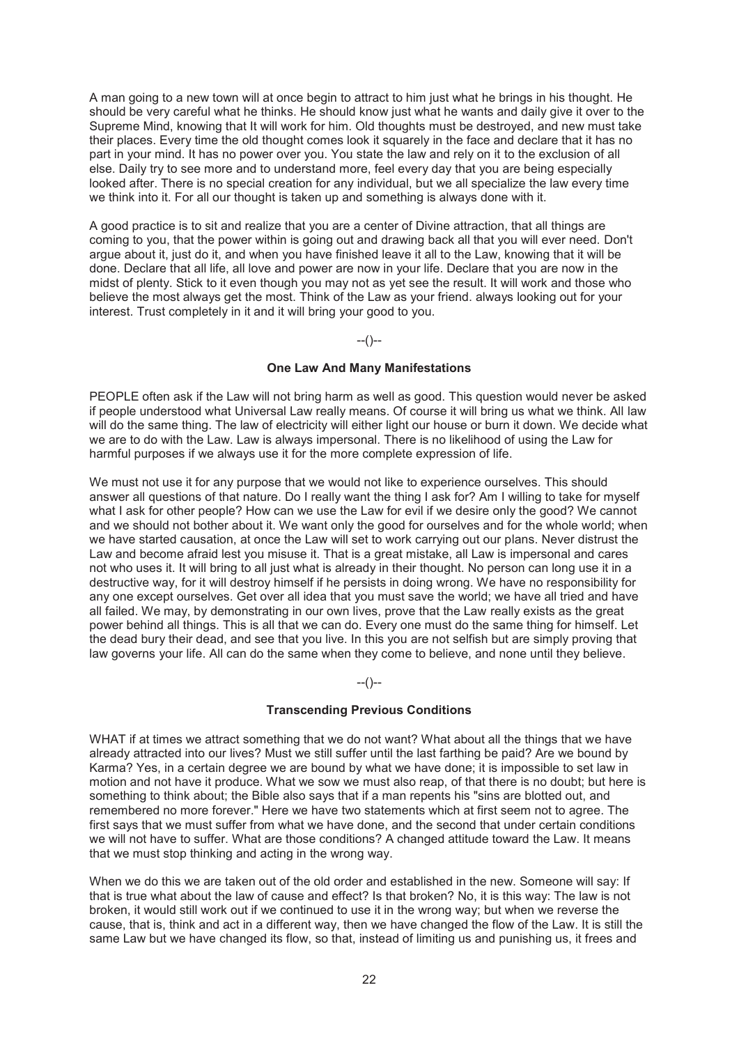A man going to a new town will at once begin to attract to him just what he brings in his thought. He should be very careful what he thinks. He should know just what he wants and daily give it over to the Supreme Mind, knowing that It will work for him. Old thoughts must be destroyed, and new must take their places. Every time the old thought comes look it squarely in the face and declare that it has no part in your mind. It has no power over you. You state the law and rely on it to the exclusion of all else. Daily try to see more and to understand more, feel every day that you are being especially looked after. There is no special creation for any individual, but we all specialize the law every time we think into it. For all our thought is taken up and something is always done with it.

A good practice is to sit and realize that you are a center of Divine attraction, that all things are coming to you, that the power within is going out and drawing back all that you will ever need. Don't argue about it, just do it, and when you have finished leave it all to the Law, knowing that it will be done. Declare that all life, all love and power are now in your life. Declare that you are now in the midst of plenty. Stick to it even though you may not as yet see the result. It will work and those who believe the most always get the most. Think of the Law as your friend. always looking out for your interest. Trust completely in it and it will bring your good to you.

--()--

#### **One Law And Many Manifestations**

PEOPLE often ask if the Law will not bring harm as well as good. This question would never be asked if people understood what Universal Law really means. Of course it will bring us what we think. All law will do the same thing. The law of electricity will either light our house or burn it down. We decide what we are to do with the Law. Law is always impersonal. There is no likelihood of using the Law for harmful purposes if we always use it for the more complete expression of life.

We must not use it for any purpose that we would not like to experience ourselves. This should answer all questions of that nature. Do I really want the thing I ask for? Am I willing to take for myself what I ask for other people? How can we use the Law for evil if we desire only the good? We cannot and we should not bother about it. We want only the good for ourselves and for the whole world; when we have started causation, at once the Law will set to work carrying out our plans. Never distrust the Law and become afraid lest you misuse it. That is a great mistake, all Law is impersonal and cares not who uses it. It will bring to all just what is already in their thought. No person can long use it in a destructive way, for it will destroy himself if he persists in doing wrong. We have no responsibility for any one except ourselves. Get over all idea that you must save the world; we have all tried and have all failed. We may, by demonstrating in our own lives, prove that the Law really exists as the great power behind all things. This is all that we can do. Every one must do the same thing for himself. Let the dead bury their dead, and see that you live. In this you are not selfish but are simply proving that law governs your life. All can do the same when they come to believe, and none until they believe.

--()--

#### **Transcending Previous Conditions**

WHAT if at times we attract something that we do not want? What about all the things that we have already attracted into our lives? Must we still suffer until the last farthing be paid? Are we bound by Karma? Yes, in a certain degree we are bound by what we have done; it is impossible to set law in motion and not have it produce. What we sow we must also reap, of that there is no doubt; but here is something to think about; the Bible also says that if a man repents his "sins are blotted out, and remembered no more forever." Here we have two statements which at first seem not to agree. The first says that we must suffer from what we have done, and the second that under certain conditions we will not have to suffer. What are those conditions? A changed attitude toward the Law. It means that we must stop thinking and acting in the wrong way.

When we do this we are taken out of the old order and established in the new. Someone will say: If that is true what about the law of cause and effect? Is that broken? No, it is this way: The law is not broken, it would still work out if we continued to use it in the wrong way; but when we reverse the cause, that is, think and act in a different way, then we have changed the flow of the Law. It is still the same Law but we have changed its flow, so that, instead of limiting us and punishing us, it frees and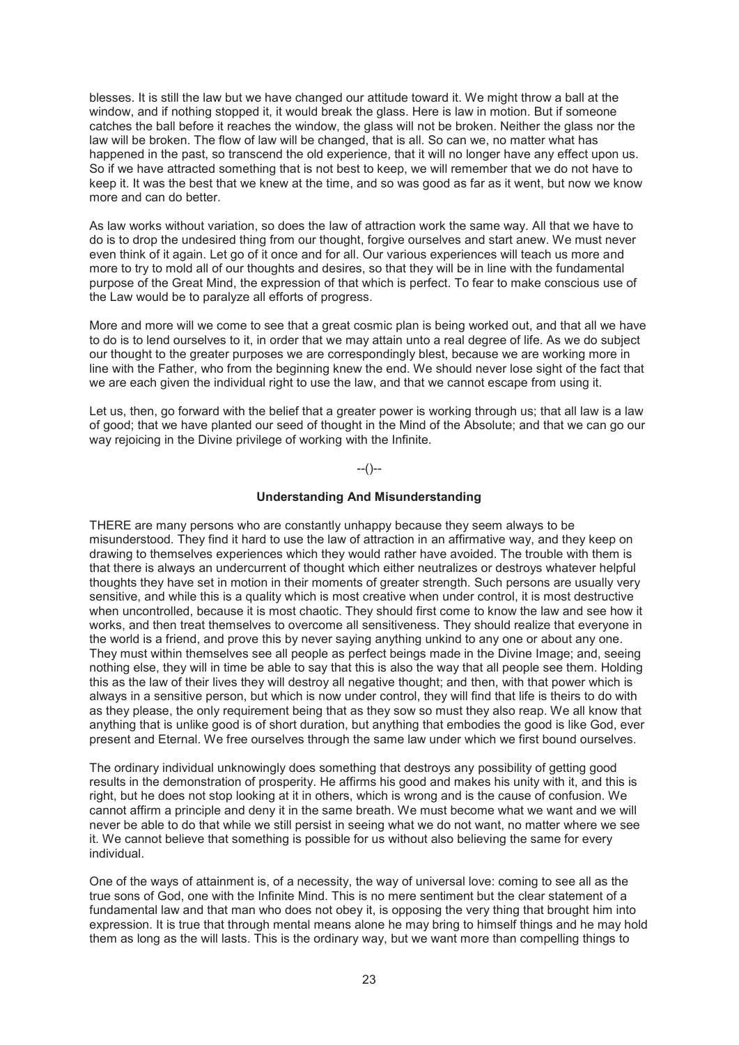blesses. It is still the law but we have changed our attitude toward it. We might throw a ball at the window, and if nothing stopped it, it would break the glass. Here is law in motion. But if someone catches the ball before it reaches the window, the glass will not be broken. Neither the glass nor the law will be broken. The flow of law will be changed, that is all. So can we, no matter what has happened in the past, so transcend the old experience, that it will no longer have any effect upon us. So if we have attracted something that is not best to keep, we will remember that we do not have to keep it. It was the best that we knew at the time, and so was good as far as it went, but now we know more and can do better.

As law works without variation, so does the law of attraction work the same way. All that we have to do is to drop the undesired thing from our thought, forgive ourselves and start anew. We must never even think of it again. Let go of it once and for all. Our various experiences will teach us more and more to try to mold all of our thoughts and desires, so that they will be in line with the fundamental purpose of the Great Mind, the expression of that which is perfect. To fear to make conscious use of the Law would be to paralyze all efforts of progress.

More and more will we come to see that a great cosmic plan is being worked out, and that all we have to do is to lend ourselves to it, in order that we may attain unto a real degree of life. As we do subject our thought to the greater purposes we are correspondingly blest, because we are working more in line with the Father, who from the beginning knew the end. We should never lose sight of the fact that we are each given the individual right to use the law, and that we cannot escape from using it.

Let us, then, go forward with the belief that a greater power is working through us; that all law is a law of good; that we have planted our seed of thought in the Mind of the Absolute; and that we can go our way rejoicing in the Divine privilege of working with the Infinite.

--()--

#### **Understanding And Misunderstanding**

THERE are many persons who are constantly unhappy because they seem always to be misunderstood. They find it hard to use the law of attraction in an affirmative way, and they keep on drawing to themselves experiences which they would rather have avoided. The trouble with them is that there is always an undercurrent of thought which either neutralizes or destroys whatever helpful thoughts they have set in motion in their moments of greater strength. Such persons are usually very sensitive, and while this is a quality which is most creative when under control, it is most destructive when uncontrolled, because it is most chaotic. They should first come to know the law and see how it works, and then treat themselves to overcome all sensitiveness. They should realize that everyone in the world is a friend, and prove this by never saying anything unkind to any one or about any one. They must within themselves see all people as perfect beings made in the Divine Image; and, seeing nothing else, they will in time be able to say that this is also the way that all people see them. Holding this as the law of their lives they will destroy all negative thought; and then, with that power which is always in a sensitive person, but which is now under control, they will find that life is theirs to do with as they please, the only requirement being that as they sow so must they also reap. We all know that anything that is unlike good is of short duration, but anything that embodies the good is like God, ever present and Eternal. We free ourselves through the same law under which we first bound ourselves.

The ordinary individual unknowingly does something that destroys any possibility of getting good results in the demonstration of prosperity. He affirms his good and makes his unity with it, and this is right, but he does not stop looking at it in others, which is wrong and is the cause of confusion. We cannot affirm a principle and deny it in the same breath. We must become what we want and we will never be able to do that while we still persist in seeing what we do not want, no matter where we see it. We cannot believe that something is possible for us without also believing the same for every individual.

One of the ways of attainment is, of a necessity, the way of universal love: coming to see all as the true sons of God, one with the Infinite Mind. This is no mere sentiment but the clear statement of a fundamental law and that man who does not obey it, is opposing the very thing that brought him into expression. It is true that through mental means alone he may bring to himself things and he may hold them as long as the will lasts. This is the ordinary way, but we want more than compelling things to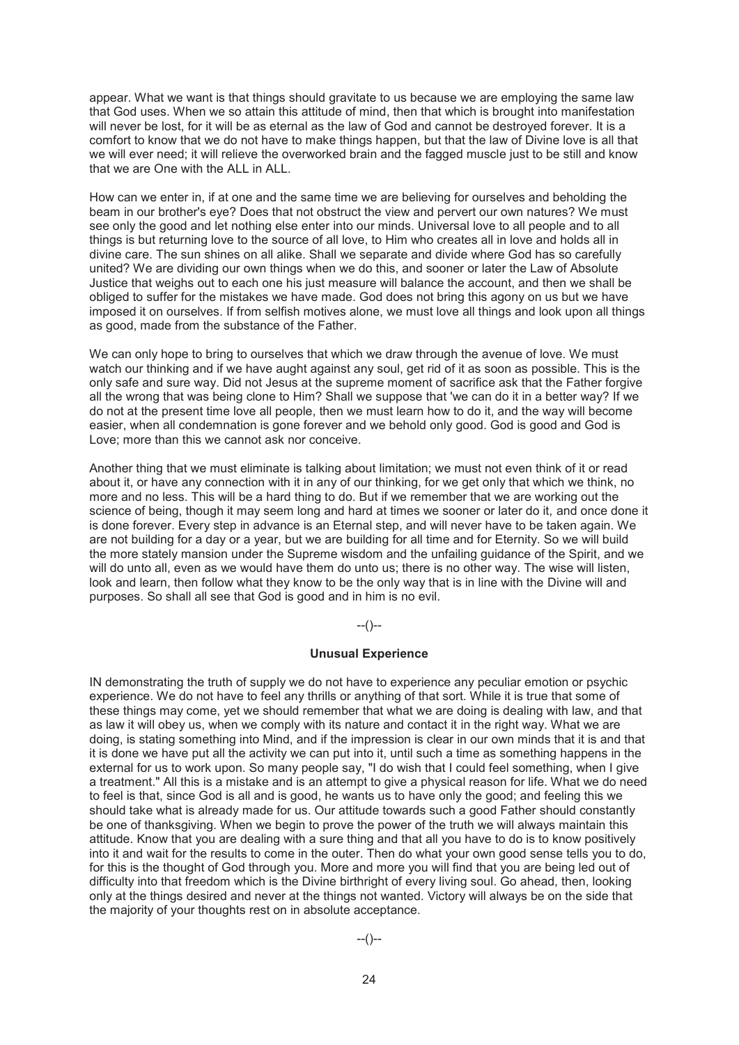appear. What we want is that things should gravitate to us because we are employing the same law that God uses. When we so attain this attitude of mind, then that which is brought into manifestation will never be lost, for it will be as eternal as the law of God and cannot be destroyed forever. It is a comfort to know that we do not have to make things happen, but that the law of Divine love is all that we will ever need; it will relieve the overworked brain and the fagged muscle just to be still and know that we are One with the ALL in ALL.

How can we enter in, if at one and the same time we are believing for ourselves and beholding the beam in our brother's eye? Does that not obstruct the view and pervert our own natures? We must see only the good and let nothing else enter into our minds. Universal love to all people and to all things is but returning love to the source of all love, to Him who creates all in love and holds all in divine care. The sun shines on all alike. Shall we separate and divide where God has so carefully united? We are dividing our own things when we do this, and sooner or later the Law of Absolute Justice that weighs out to each one his just measure will balance the account, and then we shall be obliged to suffer for the mistakes we have made. God does not bring this agony on us but we have imposed it on ourselves. If from selfish motives alone, we must love all things and look upon all things as good, made from the substance of the Father.

We can only hope to bring to ourselves that which we draw through the avenue of love. We must watch our thinking and if we have aught against any soul, get rid of it as soon as possible. This is the only safe and sure way. Did not Jesus at the supreme moment of sacrifice ask that the Father forgive all the wrong that was being clone to Him? Shall we suppose that 'we can do it in a better way? If we do not at the present time love all people, then we must learn how to do it, and the way will become easier, when all condemnation is gone forever and we behold only good. God is good and God is Love; more than this we cannot ask nor conceive.

Another thing that we must eliminate is talking about limitation; we must not even think of it or read about it, or have any connection with it in any of our thinking, for we get only that which we think, no more and no less. This will be a hard thing to do. But if we remember that we are working out the science of being, though it may seem long and hard at times we sooner or later do it, and once done it is done forever. Every step in advance is an Eternal step, and will never have to be taken again. We are not building for a day or a year, but we are building for all time and for Eternity. So we will build the more stately mansion under the Supreme wisdom and the unfailing guidance of the Spirit, and we will do unto all, even as we would have them do unto us; there is no other way. The wise will listen, look and learn, then follow what they know to be the only way that is in line with the Divine will and purposes. So shall all see that God is good and in him is no evil.

 $-(-)$ 

### **Unusual Experience**

IN demonstrating the truth of supply we do not have to experience any peculiar emotion or psychic experience. We do not have to feel any thrills or anything of that sort. While it is true that some of these things may come, yet we should remember that what we are doing is dealing with law, and that as law it will obey us, when we comply with its nature and contact it in the right way. What we are doing, is stating something into Mind, and if the impression is clear in our own minds that it is and that it is done we have put all the activity we can put into it, until such a time as something happens in the external for us to work upon. So many people say, "I do wish that I could feel something, when I give a treatment." All this is a mistake and is an attempt to give a physical reason for life. What we do need to feel is that, since God is all and is good, he wants us to have only the good; and feeling this we should take what is already made for us. Our attitude towards such a good Father should constantly be one of thanksgiving. When we begin to prove the power of the truth we will always maintain this attitude. Know that you are dealing with a sure thing and that all you have to do is to know positively into it and wait for the results to come in the outer. Then do what your own good sense tells you to do, for this is the thought of God through you. More and more you will find that you are being led out of difficulty into that freedom which is the Divine birthright of every living soul. Go ahead, then, looking only at the things desired and never at the things not wanted. Victory will always be on the side that the majority of your thoughts rest on in absolute acceptance.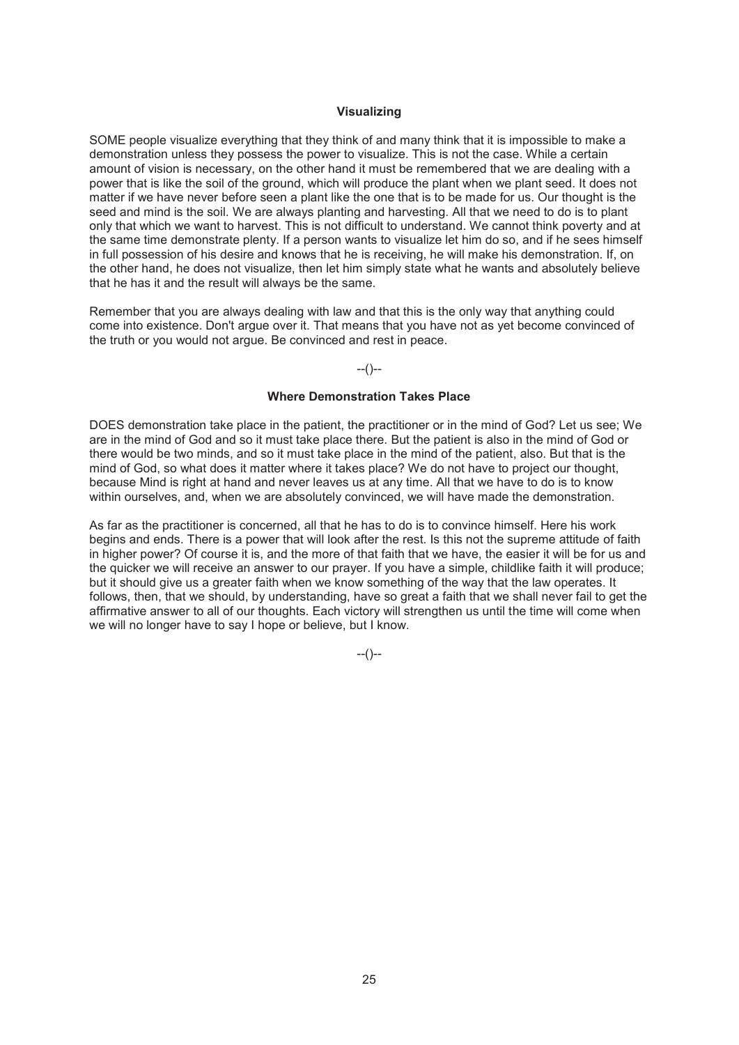#### **Visualizing**

SOME people visualize everything that they think of and many think that it is impossible to make a demonstration unless they possess the power to visualize. This is not the case. While a certain amount of vision is necessary, on the other hand it must be remembered that we are dealing with a power that is like the soil of the ground, which will produce the plant when we plant seed. It does not matter if we have never before seen a plant like the one that is to be made for us. Our thought is the seed and mind is the soil. We are always planting and harvesting. All that we need to do is to plant only that which we want to harvest. This is not difficult to understand. We cannot think poverty and at the same time demonstrate plenty. If a person wants to visualize let him do so, and if he sees himself in full possession of his desire and knows that he is receiving, he will make his demonstration. If, on the other hand, he does not visualize, then let him simply state what he wants and absolutely believe that he has it and the result will always be the same.

Remember that you are always dealing with law and that this is the only way that anything could come into existence. Don't argue over it. That means that you have not as yet become convinced of the truth or you would not argue. Be convinced and rest in peace.

## $-(-)$

## **Where Demonstration Takes Place**

DOES demonstration take place in the patient, the practitioner or in the mind of God? Let us see; We are in the mind of God and so it must take place there. But the patient is also in the mind of God or there would be two minds, and so it must take place in the mind of the patient, also. But that is the mind of God, so what does it matter where it takes place? We do not have to project our thought, because Mind is right at hand and never leaves us at any time. All that we have to do is to know within ourselves, and, when we are absolutely convinced, we will have made the demonstration.

As far as the practitioner is concerned, all that he has to do is to convince himself. Here his work begins and ends. There is a power that will look after the rest. Is this not the supreme attitude of faith in higher power? Of course it is, and the more of that faith that we have, the easier it will be for us and the quicker we will receive an answer to our prayer. If you have a simple, childlike faith it will produce; but it should give us a greater faith when we know something of the way that the law operates. It follows, then, that we should, by understanding, have so great a faith that we shall never fail to get the affirmative answer to all of our thoughts. Each victory will strengthen us until the time will come when we will no longer have to say I hope or believe, but I know.

--()--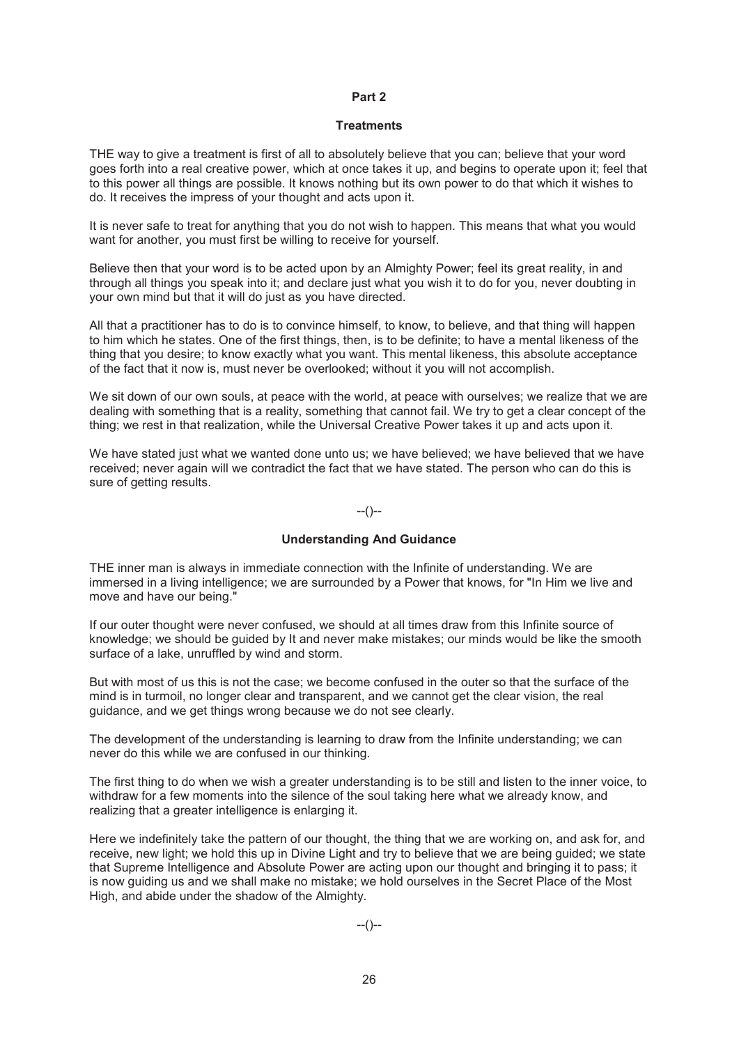#### **Part 2**

#### **Treatments**

THE way to give a treatment is first of all to absolutely believe that you can; believe that your word goes forth into a real creative power, which at once takes it up, and begins to operate upon it; feel that to this power all things are possible. It knows nothing but its own power to do that which it wishes to do. It receives the impress of your thought and acts upon it.

It is never safe to treat for anything that you do not wish to happen. This means that what you would want for another, you must first be willing to receive for yourself.

Believe then that your word is to be acted upon by an Almighty Power; feel its great reality, in and through all things you speak into it; and declare just what you wish it to do for you, never doubting in your own mind but that it will do just as you have directed.

All that a practitioner has to do is to convince himself, to know, to believe, and that thing will happen to him which he states. One of the first things, then, is to be definite; to have a mental likeness of the thing that you desire; to know exactly what you want. This mental likeness, this absolute acceptance of the fact that it now is, must never be overlooked; without it you will not accomplish.

We sit down of our own souls, at peace with the world, at peace with ourselves; we realize that we are dealing with something that is a reality, something that cannot fail. We try to get a clear concept of the thing; we rest in that realization, while the Universal Creative Power takes it up and acts upon it.

We have stated just what we wanted done unto us; we have believed; we have believed that we have received; never again will we contradict the fact that we have stated. The person who can do this is sure of getting results.

 $-(-)$ 

#### **Understanding And Guidance**

THE inner man is always in immediate connection with the Infinite of understanding. We are immersed in a living intelligence; we are surrounded by a Power that knows, for "In Him we live and move and have our being."

If our outer thought were never confused, we should at all times draw from this Infinite source of knowledge; we should be guided by It and never make mistakes; our minds would be like the smooth surface of a lake, unruffled by wind and storm.

But with most of us this is not the case; we become confused in the outer so that the surface of the mind is in turmoil, no longer clear and transparent, and we cannot get the clear vision, the real guidance, and we get things wrong because we do not see clearly.

The development of the understanding is learning to draw from the Infinite understanding; we can never do this while we are confused in our thinking.

The first thing to do when we wish a greater understanding is to be still and listen to the inner voice, to withdraw for a few moments into the silence of the soul taking here what we already know, and realizing that a greater intelligence is enlarging it.

Here we indefinitely take the pattern of our thought, the thing that we are working on, and ask for, and receive, new light; we hold this up in Divine Light and try to believe that we are being guided; we state that Supreme Intelligence and Absolute Power are acting upon our thought and bringing it to pass; it is now guiding us and we shall make no mistake; we hold ourselves in the Secret Place of the Most High, and abide under the shadow of the Almighty.

--()--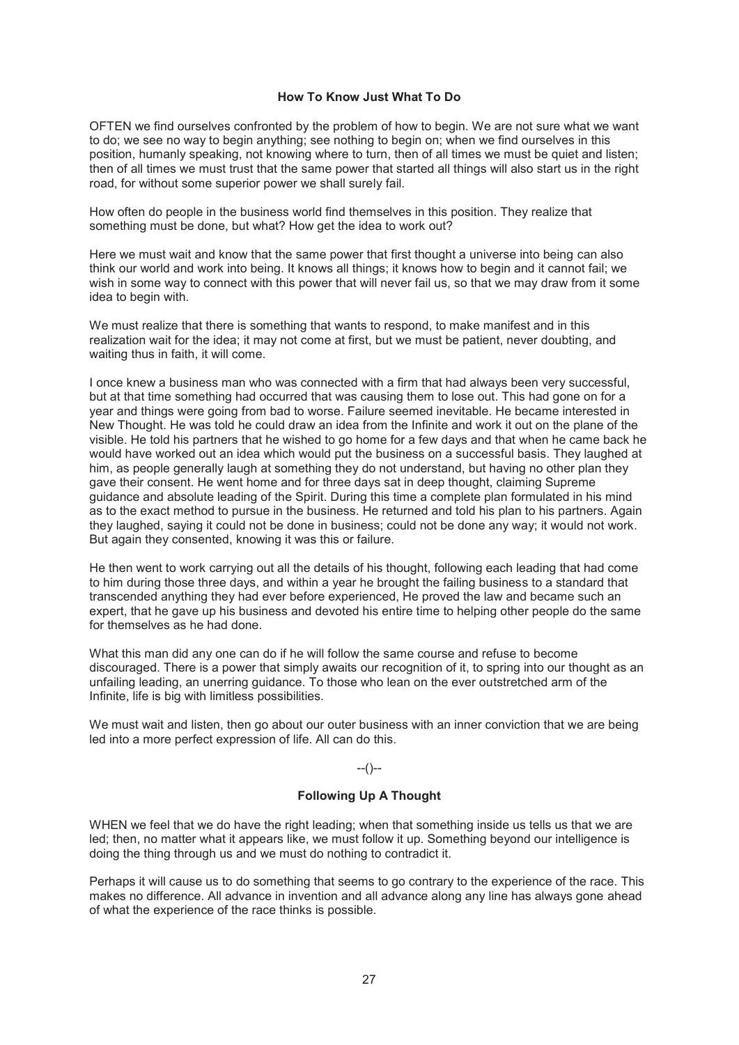### **How To Know Just What To Do**

OFTEN we find ourselves confronted by the problem of how to begin. We are not sure what we want to do; we see no way to begin anything; see nothing to begin on; when we find ourselves in this position, humanly speaking, not knowing where to turn, then of all times we must be quiet and listen; then of all times we must trust that the same power that started all things will also start us in the right road, for without some superior power we shall surely fail.

How often do people in the business world find themselves in this position. They realize that something must be done, but what? How get the idea to work out?

Here we must wait and know that the same power that first thought a universe into being can also think our world and work into being. It knows all things; it knows how to begin and it cannot fail; we wish in some way to connect with this power that will never fail us, so that we may draw from it some idea to begin with.

We must realize that there is something that wants to respond, to make manifest and in this realization wait for the idea; it may not come at first, but we must be patient, never doubting, and waiting thus in faith, it will come.

I once knew a business man who was connected with a firm that had always been very successful, but at that time something had occurred that was causing them to lose out. This had gone on for a year and things were going from bad to worse. Failure seemed inevitable. He became interested in New Thought. He was told he could draw an idea from the Infinite and work it out on the plane of the visible. He told his partners that he wished to go home for a few days and that when he came back he would have worked out an idea which would put the business on a successful basis. They laughed at him, as people generally laugh at something they do not understand, but having no other plan they gave their consent. He went home and for three days sat in deep thought, claiming Supreme guidance and absolute leading of the Spirit. During this time a complete plan formulated in his mind as to the exact method to pursue in the business. He returned and told his plan to his partners. Again they laughed, saying it could not be done in business; could not be done any way; it would not work. But again they consented, knowing it was this or failure.

He then went to work carrying out all the details of his thought, following each leading that had come to him during those three days, and within a year he brought the failing business to a standard that transcended anything they had ever before experienced, He proved the law and became such an expert, that he gave up his business and devoted his entire time to helping other people do the same for themselves as he had done.

What this man did any one can do if he will follow the same course and refuse to become discouraged. There is a power that simply awaits our recognition of it, to spring into our thought as an unfailing leading, an unerring guidance. To those who lean on the ever outstretched arm of the Infinite, life is big with limitless possibilities.

We must wait and listen, then go about our outer business with an inner conviction that we are being led into a more perfect expression of life. All can do this.

## --()--

# **Following Up A Thought**

WHEN we feel that we do have the right leading; when that something inside us tells us that we are led; then, no matter what it appears like, we must follow it up. Something beyond our intelligence is doing the thing through us and we must do nothing to contradict it.

Perhaps it will cause us to do something that seems to go contrary to the experience of the race. This makes no difference. All advance in invention and all advance along any line has always gone ahead of what the experience of the race thinks is possible.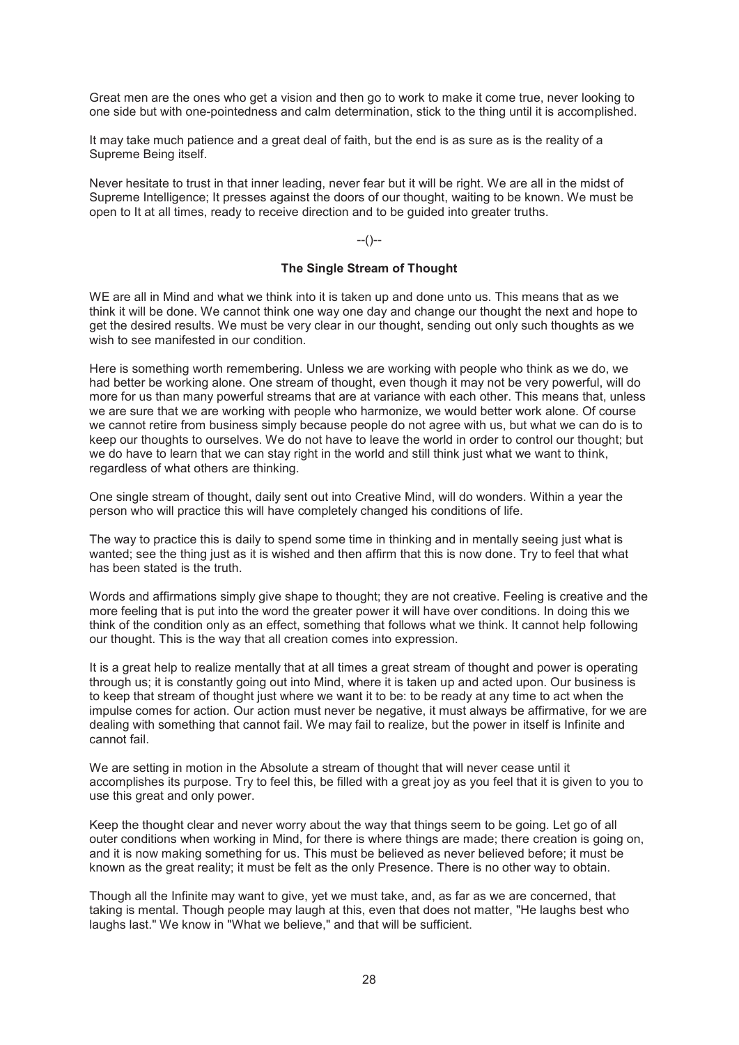Great men are the ones who get a vision and then go to work to make it come true, never looking to one side but with one-pointedness and calm determination, stick to the thing until it is accomplished.

It may take much patience and a great deal of faith, but the end is as sure as is the reality of a Supreme Being itself.

Never hesitate to trust in that inner leading, never fear but it will be right. We are all in the midst of Supreme Intelligence; It presses against the doors of our thought, waiting to be known. We must be open to It at all times, ready to receive direction and to be guided into greater truths.

#### --()--

# **The Single Stream of Thought**

WE are all in Mind and what we think into it is taken up and done unto us. This means that as we think it will be done. We cannot think one way one day and change our thought the next and hope to get the desired results. We must be very clear in our thought, sending out only such thoughts as we wish to see manifested in our condition.

Here is something worth remembering. Unless we are working with people who think as we do, we had better be working alone. One stream of thought, even though it may not be very powerful, will do more for us than many powerful streams that are at variance with each other. This means that, unless we are sure that we are working with people who harmonize, we would better work alone. Of course we cannot retire from business simply because people do not agree with us, but what we can do is to keep our thoughts to ourselves. We do not have to leave the world in order to control our thought; but we do have to learn that we can stay right in the world and still think just what we want to think, regardless of what others are thinking.

One single stream of thought, daily sent out into Creative Mind, will do wonders. Within a year the person who will practice this will have completely changed his conditions of life.

The way to practice this is daily to spend some time in thinking and in mentally seeing just what is wanted; see the thing just as it is wished and then affirm that this is now done. Try to feel that what has been stated is the truth.

Words and affirmations simply give shape to thought; they are not creative. Feeling is creative and the more feeling that is put into the word the greater power it will have over conditions. In doing this we think of the condition only as an effect, something that follows what we think. It cannot help following our thought. This is the way that all creation comes into expression.

It is a great help to realize mentally that at all times a great stream of thought and power is operating through us; it is constantly going out into Mind, where it is taken up and acted upon. Our business is to keep that stream of thought just where we want it to be: to be ready at any time to act when the impulse comes for action. Our action must never be negative, it must always be affirmative, for we are dealing with something that cannot fail. We may fail to realize, but the power in itself is Infinite and cannot fail.

We are setting in motion in the Absolute a stream of thought that will never cease until it accomplishes its purpose. Try to feel this, be filled with a great joy as you feel that it is given to you to use this great and only power.

Keep the thought clear and never worry about the way that things seem to be going. Let go of all outer conditions when working in Mind, for there is where things are made; there creation is going on, and it is now making something for us. This must be believed as never believed before; it must be known as the great reality; it must be felt as the only Presence. There is no other way to obtain.

Though all the Infinite may want to give, yet we must take, and, as far as we are concerned, that taking is mental. Though people may laugh at this, even that does not matter, "He laughs best who laughs last." We know in "What we believe," and that will be sufficient.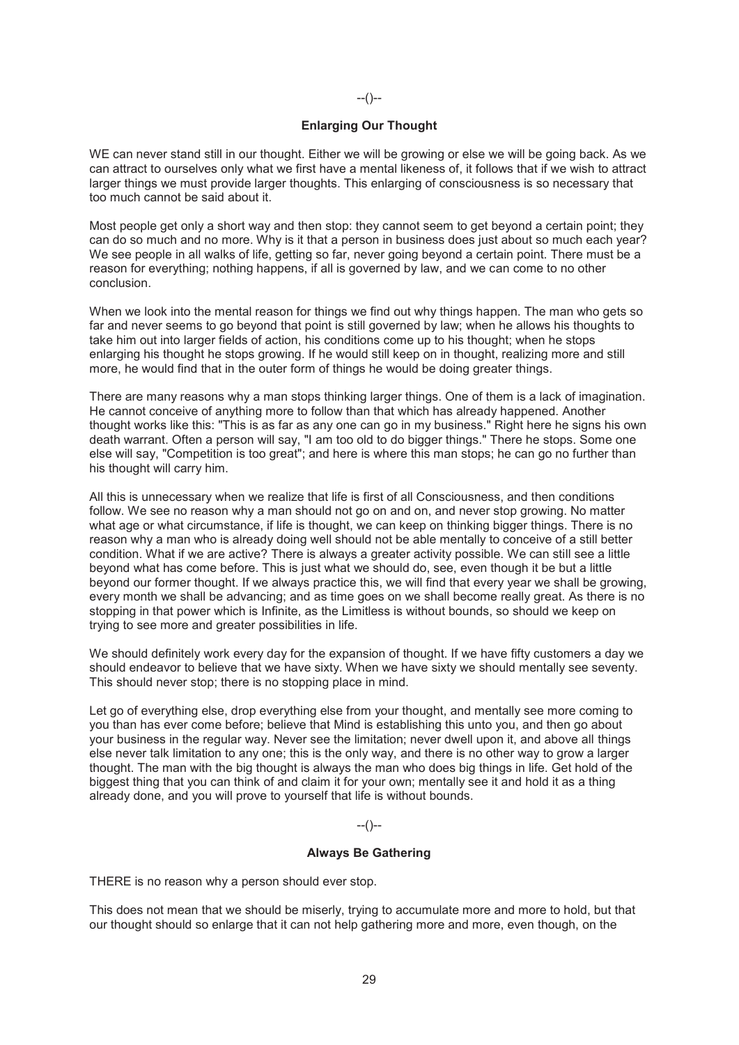## **Enlarging Our Thought**

WE can never stand still in our thought. Either we will be growing or else we will be going back. As we can attract to ourselves only what we first have a mental likeness of, it follows that if we wish to attract larger things we must provide larger thoughts. This enlarging of consciousness is so necessary that too much cannot be said about it.

Most people get only a short way and then stop: they cannot seem to get beyond a certain point; they can do so much and no more. Why is it that a person in business does just about so much each year? We see people in all walks of life, getting so far, never going beyond a certain point. There must be a reason for everything; nothing happens, if all is governed by law, and we can come to no other conclusion.

When we look into the mental reason for things we find out why things happen. The man who gets so far and never seems to go beyond that point is still governed by law; when he allows his thoughts to take him out into larger fields of action, his conditions come up to his thought; when he stops enlarging his thought he stops growing. If he would still keep on in thought, realizing more and still more, he would find that in the outer form of things he would be doing greater things.

There are many reasons why a man stops thinking larger things. One of them is a lack of imagination. He cannot conceive of anything more to follow than that which has already happened. Another thought works like this: "This is as far as any one can go in my business." Right here he signs his own death warrant. Often a person will say, "I am too old to do bigger things." There he stops. Some one else will say, "Competition is too great"; and here is where this man stops; he can go no further than his thought will carry him.

All this is unnecessary when we realize that life is first of all Consciousness, and then conditions follow. We see no reason why a man should not go on and on, and never stop growing. No matter what age or what circumstance, if life is thought, we can keep on thinking bigger things. There is no reason why a man who is already doing well should not be able mentally to conceive of a still better condition. What if we are active? There is always a greater activity possible. We can still see a little beyond what has come before. This is just what we should do, see, even though it be but a little beyond our former thought. If we always practice this, we will find that every year we shall be growing, every month we shall be advancing; and as time goes on we shall become really great. As there is no stopping in that power which is Infinite, as the Limitless is without bounds, so should we keep on trying to see more and greater possibilities in life.

We should definitely work every day for the expansion of thought. If we have fifty customers a day we should endeavor to believe that we have sixty. When we have sixty we should mentally see seventy. This should never stop; there is no stopping place in mind.

Let go of everything else, drop everything else from your thought, and mentally see more coming to you than has ever come before; believe that Mind is establishing this unto you, and then go about your business in the regular way. Never see the limitation; never dwell upon it, and above all things else never talk limitation to any one; this is the only way, and there is no other way to grow a larger thought. The man with the big thought is always the man who does big things in life. Get hold of the biggest thing that you can think of and claim it for your own; mentally see it and hold it as a thing already done, and you will prove to yourself that life is without bounds.

 $-(-)$ 

## **Always Be Gathering**

THERE is no reason why a person should ever stop.

This does not mean that we should be miserly, trying to accumulate more and more to hold, but that our thought should so enlarge that it can not help gathering more and more, even though, on the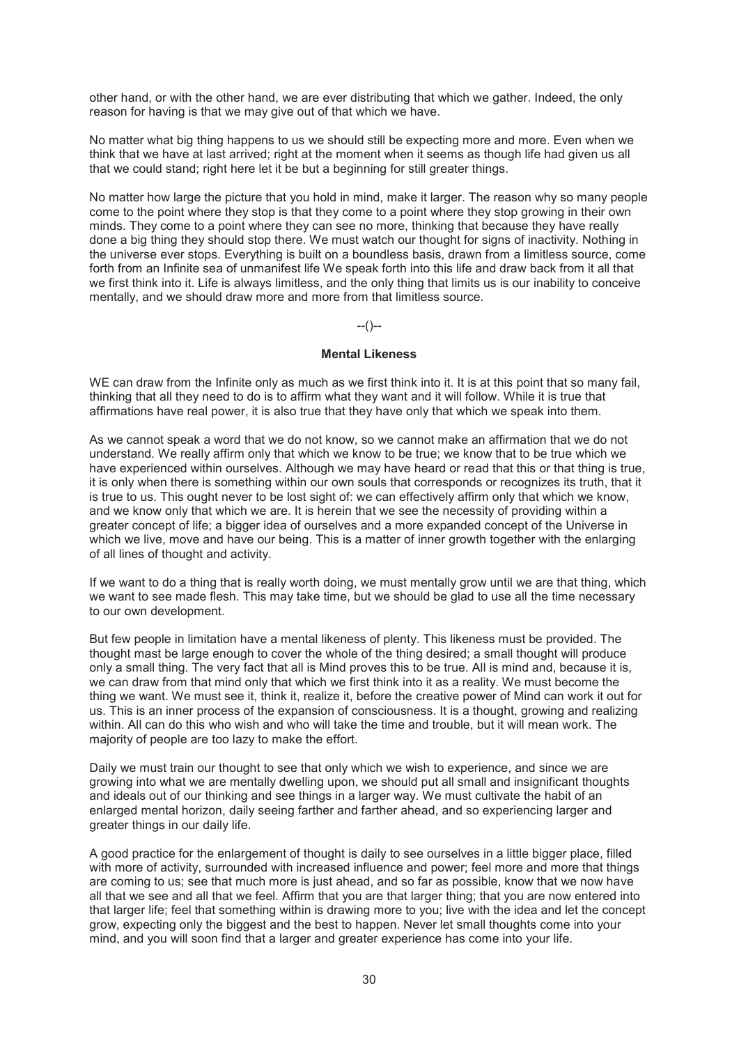other hand, or with the other hand, we are ever distributing that which we gather. Indeed, the only reason for having is that we may give out of that which we have.

No matter what big thing happens to us we should still be expecting more and more. Even when we think that we have at last arrived; right at the moment when it seems as though life had given us all that we could stand; right here let it be but a beginning for still greater things.

No matter how large the picture that you hold in mind, make it larger. The reason why so many people come to the point where they stop is that they come to a point where they stop growing in their own minds. They come to a point where they can see no more, thinking that because they have really done a big thing they should stop there. We must watch our thought for signs of inactivity. Nothing in the universe ever stops. Everything is built on a boundless basis, drawn from a limitless source, come forth from an Infinite sea of unmanifest life We speak forth into this life and draw back from it all that we first think into it. Life is always limitless, and the only thing that limits us is our inability to conceive mentally, and we should draw more and more from that limitless source.

 $-(-)$ 

#### **Mental Likeness**

WE can draw from the Infinite only as much as we first think into it. It is at this point that so many fail, thinking that all they need to do is to affirm what they want and it will follow. While it is true that affirmations have real power, it is also true that they have only that which we speak into them.

As we cannot speak a word that we do not know, so we cannot make an affirmation that we do not understand. We really affirm only that which we know to be true; we know that to be true which we have experienced within ourselves. Although we may have heard or read that this or that thing is true, it is only when there is something within our own souls that corresponds or recognizes its truth, that it is true to us. This ought never to be lost sight of: we can effectively affirm only that which we know, and we know only that which we are. It is herein that we see the necessity of providing within a greater concept of life; a bigger idea of ourselves and a more expanded concept of the Universe in which we live, move and have our being. This is a matter of inner growth together with the enlarging of all lines of thought and activity.

If we want to do a thing that is really worth doing, we must mentally grow until we are that thing, which we want to see made flesh. This may take time, but we should be glad to use all the time necessary to our own development.

But few people in limitation have a mental likeness of plenty. This likeness must be provided. The thought mast be large enough to cover the whole of the thing desired; a small thought will produce only a small thing. The very fact that all is Mind proves this to be true. All is mind and, because it is, we can draw from that mind only that which we first think into it as a reality. We must become the thing we want. We must see it, think it, realize it, before the creative power of Mind can work it out for us. This is an inner process of the expansion of consciousness. It is a thought, growing and realizing within. All can do this who wish and who will take the time and trouble, but it will mean work. The majority of people are too lazy to make the effort.

Daily we must train our thought to see that only which we wish to experience, and since we are growing into what we are mentally dwelling upon, we should put all small and insignificant thoughts and ideals out of our thinking and see things in a larger way. We must cultivate the habit of an enlarged mental horizon, daily seeing farther and farther ahead, and so experiencing larger and greater things in our daily life.

A good practice for the enlargement of thought is daily to see ourselves in a little bigger place, filled with more of activity, surrounded with increased influence and power; feel more and more that things are coming to us; see that much more is just ahead, and so far as possible, know that we now have all that we see and all that we feel. Affirm that you are that larger thing; that you are now entered into that larger life; feel that something within is drawing more to you; live with the idea and let the concept grow, expecting only the biggest and the best to happen. Never let small thoughts come into your mind, and you will soon find that a larger and greater experience has come into your life.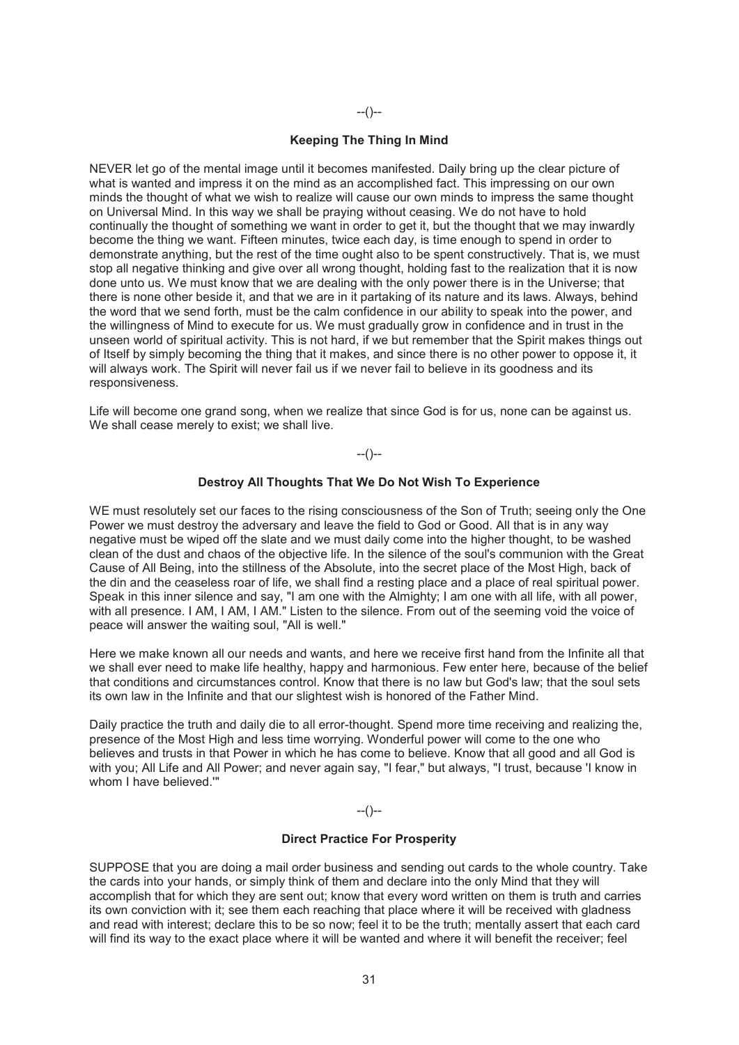### **Keeping The Thing In Mind**

--()--

NEVER let go of the mental image until it becomes manifested. Daily bring up the clear picture of what is wanted and impress it on the mind as an accomplished fact. This impressing on our own minds the thought of what we wish to realize will cause our own minds to impress the same thought on Universal Mind. In this way we shall be praying without ceasing. We do not have to hold continually the thought of something we want in order to get it, but the thought that we may inwardly become the thing we want. Fifteen minutes, twice each day, is time enough to spend in order to demonstrate anything, but the rest of the time ought also to be spent constructively. That is, we must stop all negative thinking and give over all wrong thought, holding fast to the realization that it is now done unto us. We must know that we are dealing with the only power there is in the Universe; that there is none other beside it, and that we are in it partaking of its nature and its laws. Always, behind the word that we send forth, must be the calm confidence in our ability to speak into the power, and the willingness of Mind to execute for us. We must gradually grow in confidence and in trust in the unseen world of spiritual activity. This is not hard, if we but remember that the Spirit makes things out of Itself by simply becoming the thing that it makes, and since there is no other power to oppose it, it will always work. The Spirit will never fail us if we never fail to believe in its goodness and its responsiveness.

Life will become one grand song, when we realize that since God is for us, none can be against us. We shall cease merely to exist; we shall live.

--()--

# **Destroy All Thoughts That We Do Not Wish To Experience**

WE must resolutely set our faces to the rising consciousness of the Son of Truth; seeing only the One Power we must destroy the adversary and leave the field to God or Good. All that is in any way negative must be wiped off the slate and we must daily come into the higher thought, to be washed clean of the dust and chaos of the objective life. In the silence of the soul's communion with the Great Cause of All Being, into the stillness of the Absolute, into the secret place of the Most High, back of the din and the ceaseless roar of life, we shall find a resting place and a place of real spiritual power. Speak in this inner silence and say, "I am one with the Almighty; I am one with all life, with all power, with all presence. I AM, I AM, I AM." Listen to the silence. From out of the seeming void the voice of peace will answer the waiting soul, "All is well."

Here we make known all our needs and wants, and here we receive first hand from the Infinite all that we shall ever need to make life healthy, happy and harmonious. Few enter here, because of the belief that conditions and circumstances control. Know that there is no law but God's law; that the soul sets its own law in the Infinite and that our slightest wish is honored of the Father Mind.

Daily practice the truth and daily die to all error-thought. Spend more time receiving and realizing the, presence of the Most High and less time worrying. Wonderful power will come to the one who believes and trusts in that Power in which he has come to believe. Know that all good and all God is with you; All Life and All Power; and never again say, "I fear," but always, "I trust, because 'I know in whom I have believed.'"

# --()--

#### **Direct Practice For Prosperity**

SUPPOSE that you are doing a mail order business and sending out cards to the whole country. Take the cards into your hands, or simply think of them and declare into the only Mind that they will accomplish that for which they are sent out; know that every word written on them is truth and carries its own conviction with it; see them each reaching that place where it will be received with gladness and read with interest; declare this to be so now; feel it to be the truth; mentally assert that each card will find its way to the exact place where it will be wanted and where it will benefit the receiver; feel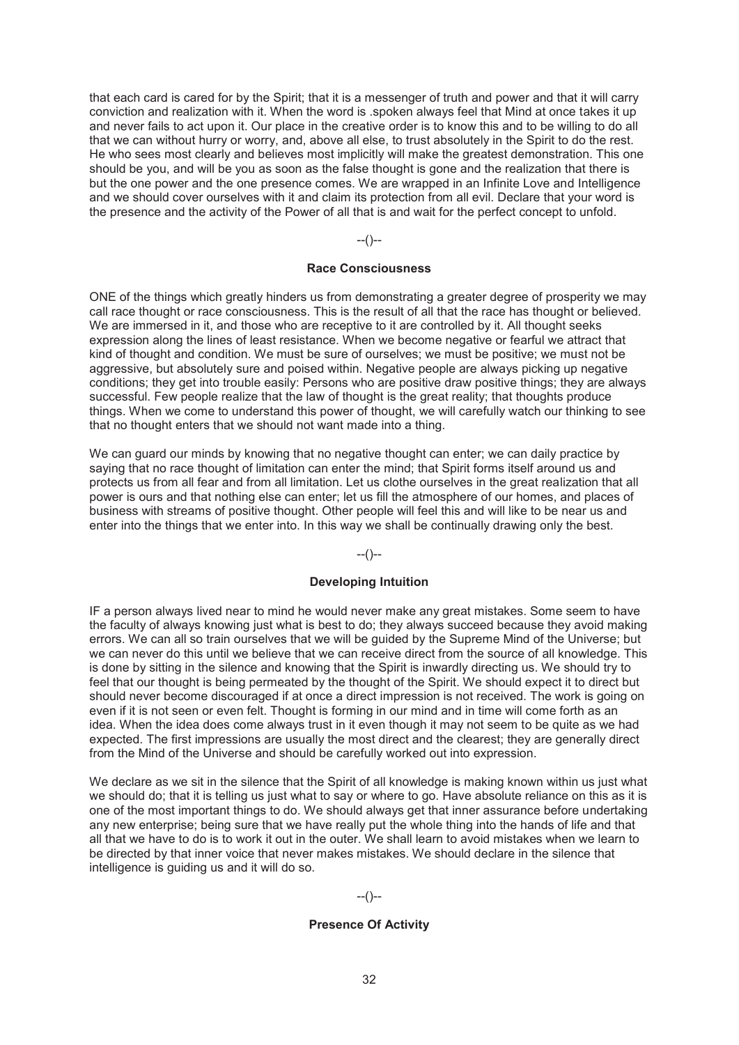that each card is cared for by the Spirit; that it is a messenger of truth and power and that it will carry conviction and realization with it. When the word is .spoken always feel that Mind at once takes it up and never fails to act upon it. Our place in the creative order is to know this and to be willing to do all that we can without hurry or worry, and, above all else, to trust absolutely in the Spirit to do the rest. He who sees most clearly and believes most implicitly will make the greatest demonstration. This one should be you, and will be you as soon as the false thought is gone and the realization that there is but the one power and the one presence comes. We are wrapped in an Infinite Love and Intelligence and we should cover ourselves with it and claim its protection from all evil. Declare that your word is the presence and the activity of the Power of all that is and wait for the perfect concept to unfold.

--()--

### **Race Consciousness**

ONE of the things which greatly hinders us from demonstrating a greater degree of prosperity we may call race thought or race consciousness. This is the result of all that the race has thought or believed. We are immersed in it, and those who are receptive to it are controlled by it. All thought seeks expression along the lines of least resistance. When we become negative or fearful we attract that kind of thought and condition. We must be sure of ourselves; we must be positive; we must not be aggressive, but absolutely sure and poised within. Negative people are always picking up negative conditions; they get into trouble easily: Persons who are positive draw positive things; they are always successful. Few people realize that the law of thought is the great reality; that thoughts produce things. When we come to understand this power of thought, we will carefully watch our thinking to see that no thought enters that we should not want made into a thing.

We can guard our minds by knowing that no negative thought can enter; we can daily practice by saying that no race thought of limitation can enter the mind; that Spirit forms itself around us and protects us from all fear and from all limitation. Let us clothe ourselves in the great realization that all power is ours and that nothing else can enter; let us fill the atmosphere of our homes, and places of business with streams of positive thought. Other people will feel this and will like to be near us and enter into the things that we enter into. In this way we shall be continually drawing only the best.

#### $-(-)$

#### **Developing Intuition**

IF a person always lived near to mind he would never make any great mistakes. Some seem to have the faculty of always knowing just what is best to do; they always succeed because they avoid making errors. We can all so train ourselves that we will be guided by the Supreme Mind of the Universe; but we can never do this until we believe that we can receive direct from the source of all knowledge. This is done by sitting in the silence and knowing that the Spirit is inwardly directing us. We should try to feel that our thought is being permeated by the thought of the Spirit. We should expect it to direct but should never become discouraged if at once a direct impression is not received. The work is going on even if it is not seen or even felt. Thought is forming in our mind and in time will come forth as an idea. When the idea does come always trust in it even though it may not seem to be quite as we had expected. The first impressions are usually the most direct and the clearest; they are generally direct from the Mind of the Universe and should be carefully worked out into expression.

We declare as we sit in the silence that the Spirit of all knowledge is making known within us just what we should do; that it is telling us just what to say or where to go. Have absolute reliance on this as it is one of the most important things to do. We should always get that inner assurance before undertaking any new enterprise; being sure that we have really put the whole thing into the hands of life and that all that we have to do is to work it out in the outer. We shall learn to avoid mistakes when we learn to be directed by that inner voice that never makes mistakes. We should declare in the silence that intelligence is guiding us and it will do so.

### --()--

## **Presence Of Activity**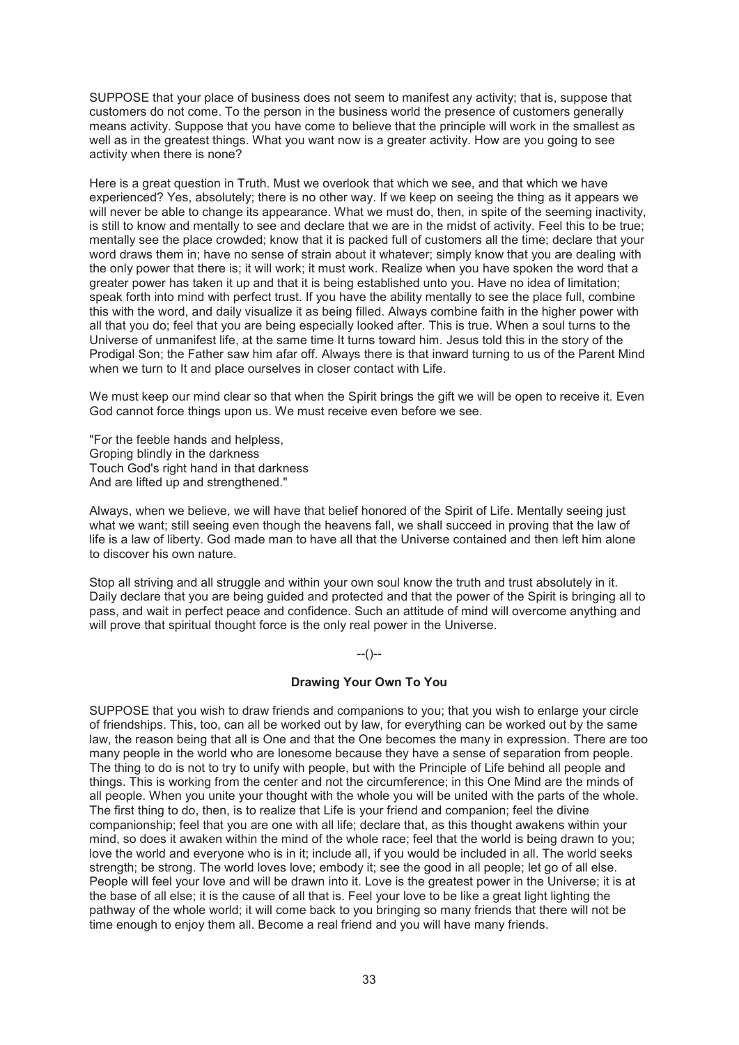SUPPOSE that your place of business does not seem to manifest any activity; that is, suppose that customers do not come. To the person in the business world the presence of customers generally means activity. Suppose that you have come to believe that the principle will work in the smallest as well as in the greatest things. What you want now is a greater activity. How are you going to see activity when there is none?

Here is a great question in Truth. Must we overlook that which we see, and that which we have experienced? Yes, absolutely; there is no other way. If we keep on seeing the thing as it appears we will never be able to change its appearance. What we must do, then, in spite of the seeming inactivity, is still to know and mentally to see and declare that we are in the midst of activity. Feel this to be true; mentally see the place crowded; know that it is packed full of customers all the time; declare that your word draws them in; have no sense of strain about it whatever; simply know that you are dealing with the only power that there is; it will work; it must work. Realize when you have spoken the word that a greater power has taken it up and that it is being established unto you. Have no idea of limitation; speak forth into mind with perfect trust. If you have the ability mentally to see the place full, combine this with the word, and daily visualize it as being filled. Always combine faith in the higher power with all that you do; feel that you are being especially looked after. This is true. When a soul turns to the Universe of unmanifest life, at the same time It turns toward him. Jesus told this in the story of the Prodigal Son; the Father saw him afar off. Always there is that inward turning to us of the Parent Mind when we turn to It and place ourselves in closer contact with Life.

We must keep our mind clear so that when the Spirit brings the gift we will be open to receive it. Even God cannot force things upon us. We must receive even before we see.

"For the feeble hands and helpless, Groping blindly in the darkness Touch God's right hand in that darkness And are lifted up and strengthened."

Always, when we believe, we will have that belief honored of the Spirit of Life. Mentally seeing just what we want; still seeing even though the heavens fall, we shall succeed in proving that the law of life is a law of liberty. God made man to have all that the Universe contained and then left him alone to discover his own nature.

Stop all striving and all struggle and within your own soul know the truth and trust absolutely in it. Daily declare that you are being guided and protected and that the power of the Spirit is bringing all to pass, and wait in perfect peace and confidence. Such an attitude of mind will overcome anything and will prove that spiritual thought force is the only real power in the Universe.

#### --()--

#### **Drawing Your Own To You**

SUPPOSE that you wish to draw friends and companions to you; that you wish to enlarge your circle of friendships. This, too, can all be worked out by law, for everything can be worked out by the same law, the reason being that all is One and that the One becomes the many in expression. There are too many people in the world who are lonesome because they have a sense of separation from people. The thing to do is not to try to unify with people, but with the Principle of Life behind all people and things. This is working from the center and not the circumference; in this One Mind are the minds of all people. When you unite your thought with the whole you will be united with the parts of the whole. The first thing to do, then, is to realize that Life is your friend and companion; feel the divine companionship; feel that you are one with all life; declare that, as this thought awakens within your mind, so does it awaken within the mind of the whole race; feel that the world is being drawn to you; love the world and everyone who is in it; include all, if you would be included in all. The world seeks strength; be strong. The world loves love; embody it; see the good in all people; let go of all else. People will feel your love and will be drawn into it. Love is the greatest power in the Universe; it is at the base of all else; it is the cause of all that is. Feel your love to be like a great light lighting the pathway of the whole world; it will come back to you bringing so many friends that there will not be time enough to enjoy them all. Become a real friend and you will have many friends.